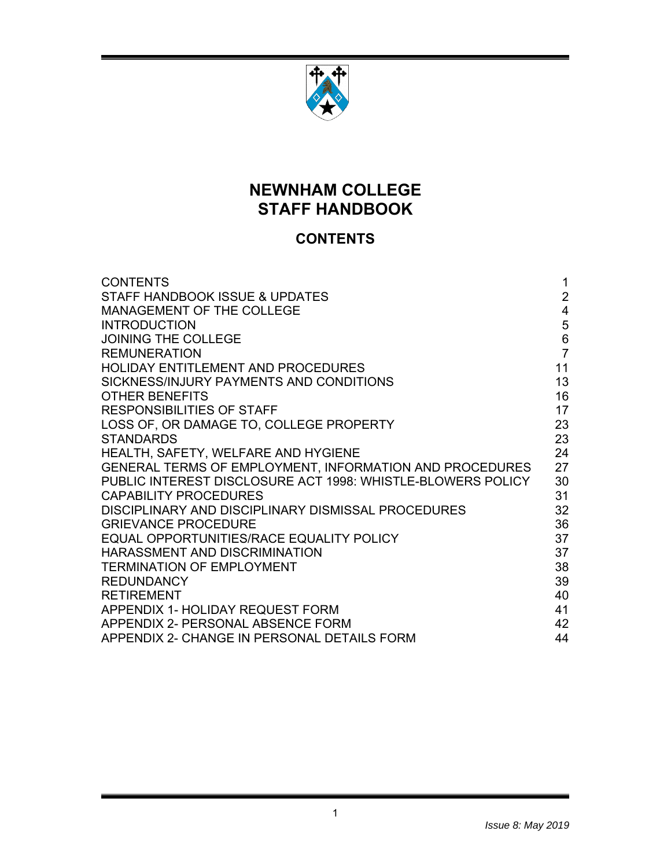

# **NEWNHAM COLLEGE STAFF HANDBOOK**

# **CONTENTS**

| <b>CONTENTS</b>                                             | 1                       |
|-------------------------------------------------------------|-------------------------|
| <b>STAFF HANDBOOK ISSUE &amp; UPDATES</b>                   | $\overline{2}$          |
| MANAGEMENT OF THE COLLEGE                                   | $\overline{\mathbf{4}}$ |
| <b>INTRODUCTION</b>                                         | 5                       |
| <b>JOINING THE COLLEGE</b>                                  | $6\phantom{a}$          |
| <b>REMUNERATION</b>                                         | $\overline{7}$          |
| HOLIDAY ENTITLEMENT AND PROCEDURES                          | 11                      |
| SICKNESS/INJURY PAYMENTS AND CONDITIONS                     | 13                      |
| <b>OTHER BENEFITS</b>                                       | 16                      |
| <b>RESPONSIBILITIES OF STAFF</b>                            | 17                      |
| LOSS OF, OR DAMAGE TO, COLLEGE PROPERTY                     | 23                      |
| <b>STANDARDS</b>                                            | 23                      |
| HEALTH, SAFETY, WELFARE AND HYGIENE                         | 24                      |
| GENERAL TERMS OF EMPLOYMENT, INFORMATION AND PROCEDURES     | 27                      |
| PUBLIC INTEREST DISCLOSURE ACT 1998: WHISTLE-BLOWERS POLICY | 30                      |
| <b>CAPABILITY PROCEDURES</b>                                | 31                      |
| DISCIPLINARY AND DISCIPLINARY DISMISSAL PROCEDURES          | 32                      |
| <b>GRIEVANCE PROCEDURE</b>                                  | 36                      |
| EQUAL OPPORTUNITIES/RACE EQUALITY POLICY                    | 37                      |
| HARASSMENT AND DISCRIMINATION                               | 37                      |
| <b>TERMINATION OF EMPLOYMENT</b>                            | 38                      |
| <b>REDUNDANCY</b>                                           | 39                      |
| <b>RETIREMENT</b>                                           | 40                      |
| APPENDIX 1- HOLIDAY REQUEST FORM                            | 41                      |
| APPENDIX 2- PERSONAL ABSENCE FORM                           | 42                      |
| APPENDIX 2- CHANGE IN PERSONAL DETAILS FORM                 | 44                      |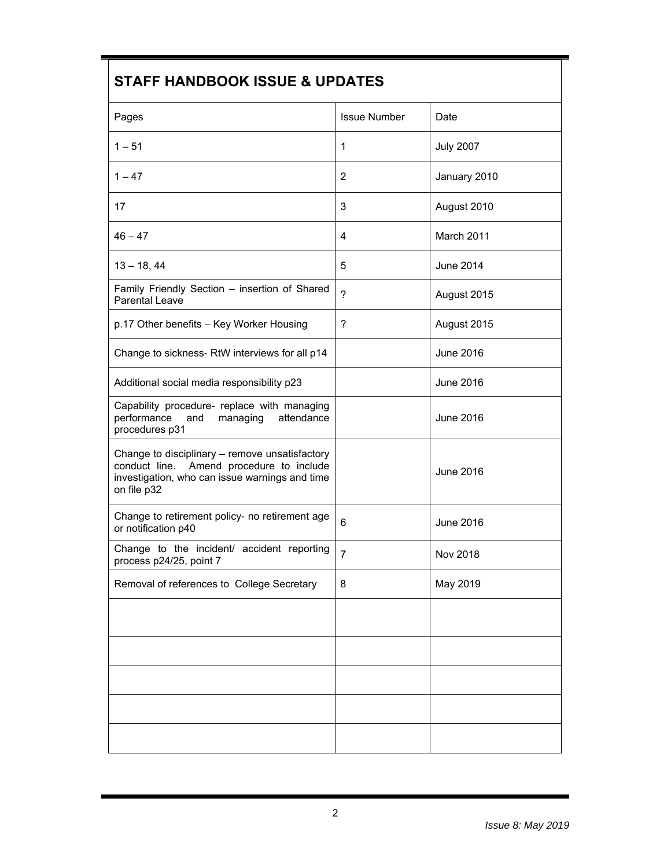# **STAFF HANDBOOK ISSUE & UPDATES**

| Pages                                                                                                                                                       | <b>Issue Number</b> | Date             |
|-------------------------------------------------------------------------------------------------------------------------------------------------------------|---------------------|------------------|
| $1 - 51$                                                                                                                                                    | 1                   | <b>July 2007</b> |
| $1 - 47$                                                                                                                                                    | $\overline{2}$      | January 2010     |
| 17                                                                                                                                                          | 3                   | August 2010      |
| $46 - 47$                                                                                                                                                   | 4                   | March 2011       |
| $13 - 18, 44$                                                                                                                                               | 5                   | <b>June 2014</b> |
| Family Friendly Section - insertion of Shared<br>Parental Leave                                                                                             | $\overline{?}$      | August 2015      |
| p.17 Other benefits - Key Worker Housing                                                                                                                    | ?                   | August 2015      |
| Change to sickness- RtW interviews for all p14                                                                                                              |                     | <b>June 2016</b> |
| Additional social media responsibility p23                                                                                                                  |                     | <b>June 2016</b> |
| Capability procedure- replace with managing<br>performance<br>and<br>managing<br>attendance<br>procedures p31                                               |                     | <b>June 2016</b> |
| Change to disciplinary - remove unsatisfactory<br>conduct line. Amend procedure to include<br>investigation, who can issue warnings and time<br>on file p32 |                     | <b>June 2016</b> |
| Change to retirement policy- no retirement age<br>or notification p40                                                                                       | 6                   | <b>June 2016</b> |
| Change to the incident/ accident reporting<br>process p24/25, point 7                                                                                       | $\overline{7}$      | <b>Nov 2018</b>  |
| Removal of references to College Secretary                                                                                                                  | 8                   | May 2019         |
|                                                                                                                                                             |                     |                  |
|                                                                                                                                                             |                     |                  |
|                                                                                                                                                             |                     |                  |
|                                                                                                                                                             |                     |                  |
|                                                                                                                                                             |                     |                  |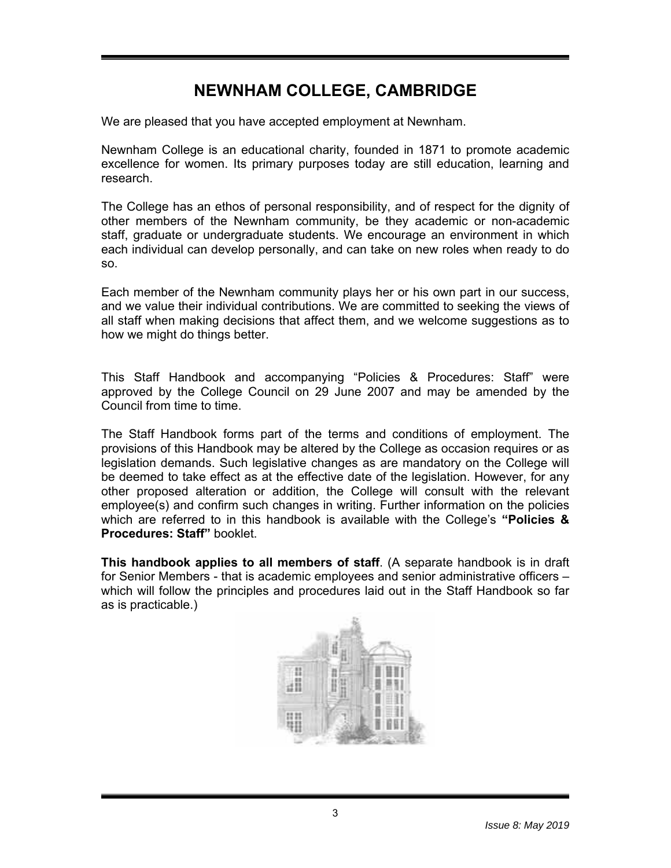# **NEWNHAM COLLEGE, CAMBRIDGE**

We are pleased that you have accepted employment at Newnham.

Newnham College is an educational charity, founded in 1871 to promote academic excellence for women. Its primary purposes today are still education, learning and research.

The College has an ethos of personal responsibility, and of respect for the dignity of other members of the Newnham community, be they academic or non-academic staff, graduate or undergraduate students. We encourage an environment in which each individual can develop personally, and can take on new roles when ready to do so.

Each member of the Newnham community plays her or his own part in our success, and we value their individual contributions. We are committed to seeking the views of all staff when making decisions that affect them, and we welcome suggestions as to how we might do things better.

This Staff Handbook and accompanying "Policies & Procedures: Staff" were approved by the College Council on 29 June 2007 and may be amended by the Council from time to time.

The Staff Handbook forms part of the terms and conditions of employment. The provisions of this Handbook may be altered by the College as occasion requires or as legislation demands. Such legislative changes as are mandatory on the College will be deemed to take effect as at the effective date of the legislation. However, for any other proposed alteration or addition, the College will consult with the relevant employee(s) and confirm such changes in writing. Further information on the policies which are referred to in this handbook is available with the College's **"Policies & Procedures: Staff"** booklet.

**This handbook applies to all members of staff**. (A separate handbook is in draft for Senior Members - that is academic employees and senior administrative officers – which will follow the principles and procedures laid out in the Staff Handbook so far as is practicable.)

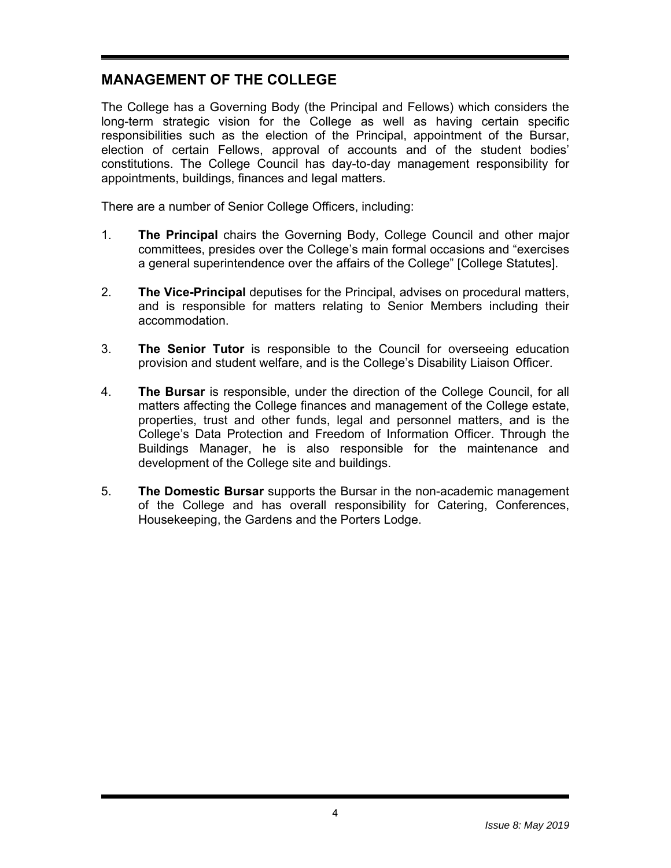# **MANAGEMENT OF THE COLLEGE**

The College has a Governing Body (the Principal and Fellows) which considers the long-term strategic vision for the College as well as having certain specific responsibilities such as the election of the Principal, appointment of the Bursar, election of certain Fellows, approval of accounts and of the student bodies' constitutions. The College Council has day-to-day management responsibility for appointments, buildings, finances and legal matters.

There are a number of Senior College Officers, including:

- 1. **The Principal** chairs the Governing Body, College Council and other major committees, presides over the College's main formal occasions and "exercises a general superintendence over the affairs of the College" [College Statutes].
- 2. **The Vice-Principal** deputises for the Principal, advises on procedural matters, and is responsible for matters relating to Senior Members including their accommodation.
- 3. **The Senior Tutor** is responsible to the Council for overseeing education provision and student welfare, and is the College's Disability Liaison Officer.
- 4. **The Bursar** is responsible, under the direction of the College Council, for all matters affecting the College finances and management of the College estate, properties, trust and other funds, legal and personnel matters, and is the College's Data Protection and Freedom of Information Officer. Through the Buildings Manager, he is also responsible for the maintenance and development of the College site and buildings.
- 5. **The Domestic Bursar** supports the Bursar in the non-academic management of the College and has overall responsibility for Catering, Conferences, Housekeeping, the Gardens and the Porters Lodge.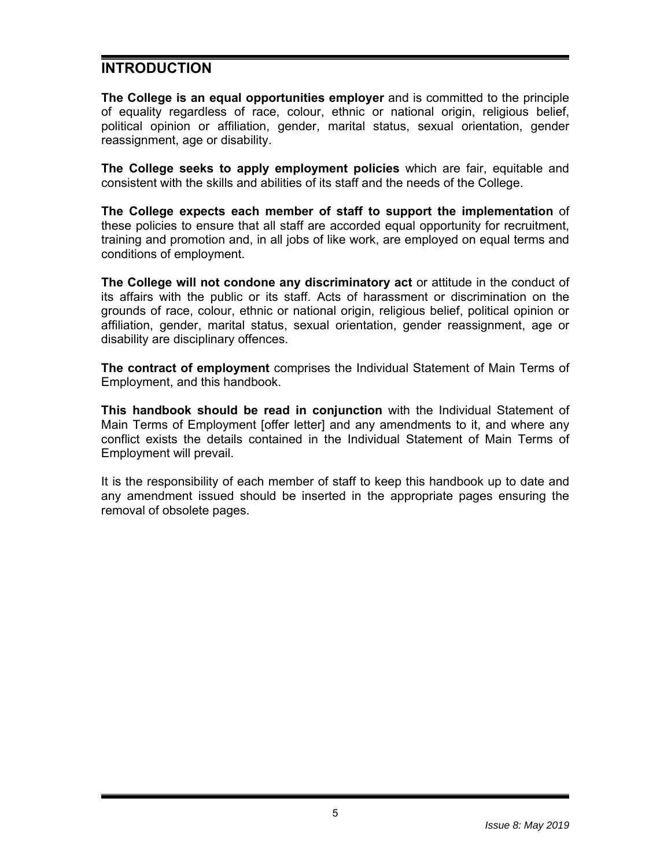# **INTRODUCTION**

**The College is an equal opportunities employer** and is committed to the principle of equality regardless of race, colour, ethnic or national origin, religious belief, political opinion or affiliation, gender, marital status, sexual orientation, gender reassignment, age or disability.

**The College seeks to apply employment policies** which are fair, equitable and consistent with the skills and abilities of its staff and the needs of the College.

**The College expects each member of staff to support the implementation** of these policies to ensure that all staff are accorded equal opportunity for recruitment, training and promotion and, in all jobs of like work, are employed on equal terms and conditions of employment.

**The College will not condone any discriminatory act** or attitude in the conduct of its affairs with the public or its staff. Acts of harassment or discrimination on the grounds of race, colour, ethnic or national origin, religious belief, political opinion or affiliation, gender, marital status, sexual orientation, gender reassignment, age or disability are disciplinary offences.

**The contract of employment** comprises the Individual Statement of Main Terms of Employment, and this handbook.

**This handbook should be read in conjunction** with the Individual Statement of Main Terms of Employment [offer letter] and any amendments to it, and where any conflict exists the details contained in the Individual Statement of Main Terms of Employment will prevail.

It is the responsibility of each member of staff to keep this handbook up to date and any amendment issued should be inserted in the appropriate pages ensuring the removal of obsolete pages.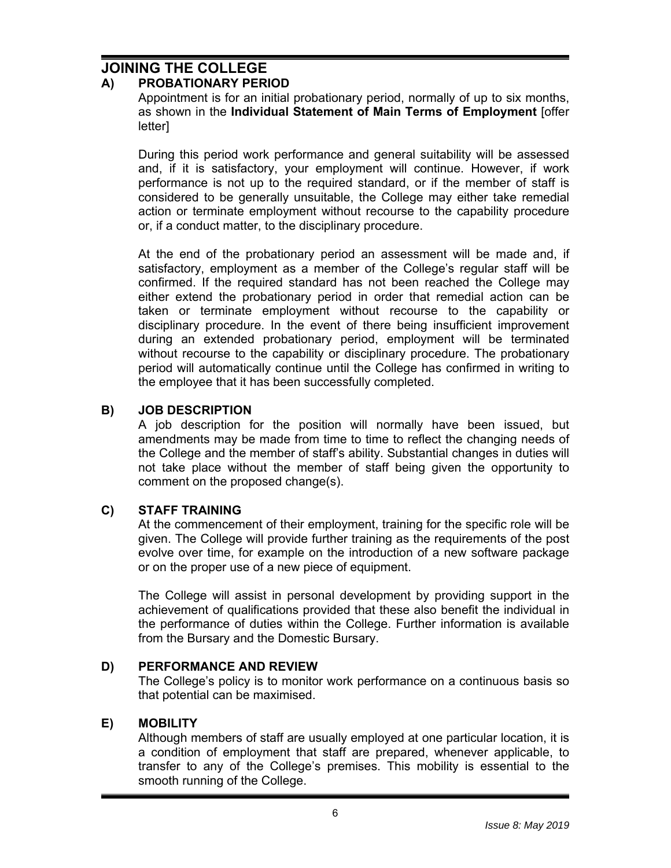# **JOINING THE COLLEGE**

### **A) PROBATIONARY PERIOD**

Appointment is for an initial probationary period, normally of up to six months, as shown in the **Individual Statement of Main Terms of Employment** [offer letter]

During this period work performance and general suitability will be assessed and, if it is satisfactory, your employment will continue. However, if work performance is not up to the required standard, or if the member of staff is considered to be generally unsuitable, the College may either take remedial action or terminate employment without recourse to the capability procedure or, if a conduct matter, to the disciplinary procedure.

At the end of the probationary period an assessment will be made and, if satisfactory, employment as a member of the College's regular staff will be confirmed. If the required standard has not been reached the College may either extend the probationary period in order that remedial action can be taken or terminate employment without recourse to the capability or disciplinary procedure. In the event of there being insufficient improvement during an extended probationary period, employment will be terminated without recourse to the capability or disciplinary procedure. The probationary period will automatically continue until the College has confirmed in writing to the employee that it has been successfully completed.

#### **B) JOB DESCRIPTION**

A job description for the position will normally have been issued, but amendments may be made from time to time to reflect the changing needs of the College and the member of staff's ability. Substantial changes in duties will not take place without the member of staff being given the opportunity to comment on the proposed change(s).

#### **C) STAFF TRAINING**

At the commencement of their employment, training for the specific role will be given. The College will provide further training as the requirements of the post evolve over time, for example on the introduction of a new software package or on the proper use of a new piece of equipment.

The College will assist in personal development by providing support in the achievement of qualifications provided that these also benefit the individual in the performance of duties within the College. Further information is available from the Bursary and the Domestic Bursary.

#### **D) PERFORMANCE AND REVIEW**

The College's policy is to monitor work performance on a continuous basis so that potential can be maximised.

#### **E) MOBILITY**

Although members of staff are usually employed at one particular location, it is a condition of employment that staff are prepared, whenever applicable, to transfer to any of the College's premises. This mobility is essential to the smooth running of the College.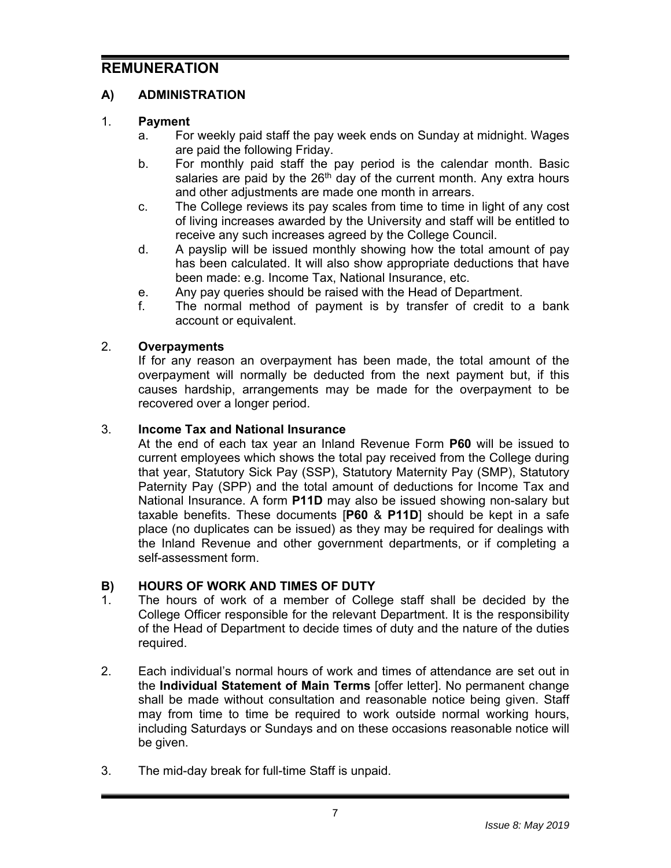# **REMUNERATION**

# **A) ADMINISTRATION**

# 1. **Payment**

- a. For weekly paid staff the pay week ends on Sunday at midnight. Wages are paid the following Friday.
- b. For monthly paid staff the pay period is the calendar month. Basic salaries are paid by the  $26<sup>th</sup>$  day of the current month. Any extra hours and other adjustments are made one month in arrears.
- c. The College reviews its pay scales from time to time in light of any cost of living increases awarded by the University and staff will be entitled to receive any such increases agreed by the College Council.
- d. A payslip will be issued monthly showing how the total amount of pay has been calculated. It will also show appropriate deductions that have been made: e.g. Income Tax, National Insurance, etc.
- e. Any pay queries should be raised with the Head of Department.
- f. The normal method of payment is by transfer of credit to a bank account or equivalent.

### 2. **Overpayments**

If for any reason an overpayment has been made, the total amount of the overpayment will normally be deducted from the next payment but, if this causes hardship, arrangements may be made for the overpayment to be recovered over a longer period.

### 3. **Income Tax and National Insurance**

At the end of each tax year an Inland Revenue Form **P60** will be issued to current employees which shows the total pay received from the College during that year, Statutory Sick Pay (SSP), Statutory Maternity Pay (SMP), Statutory Paternity Pay (SPP) and the total amount of deductions for Income Tax and National Insurance. A form **P11D** may also be issued showing non-salary but taxable benefits. These documents [**P60** & **P11D**] should be kept in a safe place (no duplicates can be issued) as they may be required for dealings with the Inland Revenue and other government departments, or if completing a self-assessment form.

# **B) HOURS OF WORK AND TIMES OF DUTY**

- 1. The hours of work of a member of College staff shall be decided by the College Officer responsible for the relevant Department. It is the responsibility of the Head of Department to decide times of duty and the nature of the duties required.
- 2. Each individual's normal hours of work and times of attendance are set out in the **Individual Statement of Main Terms** [offer letter]. No permanent change shall be made without consultation and reasonable notice being given. Staff may from time to time be required to work outside normal working hours, including Saturdays or Sundays and on these occasions reasonable notice will be given.
- 3. The mid-day break for full-time Staff is unpaid.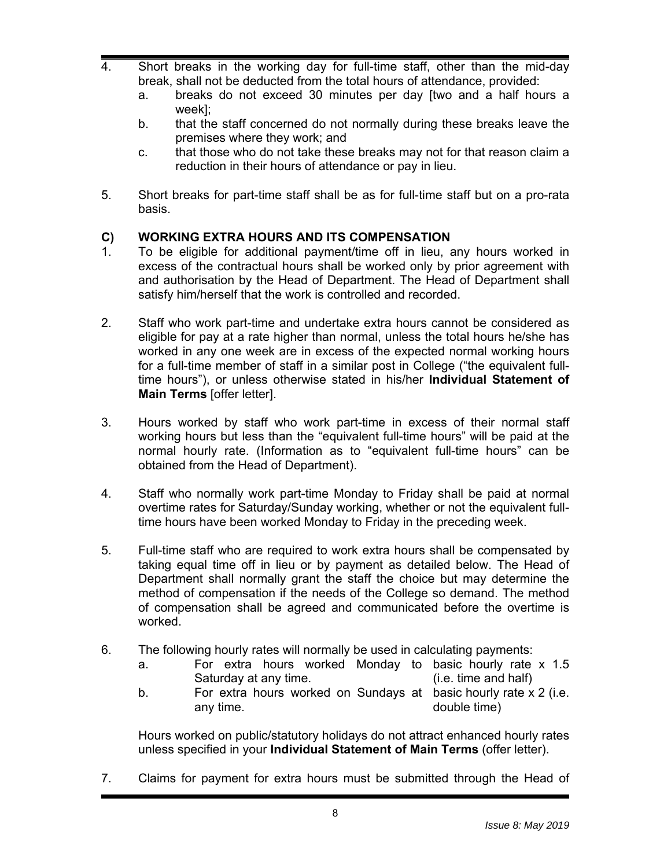- 4. Short breaks in the working day for full-time staff, other than the mid-day break, shall not be deducted from the total hours of attendance, provided:
	- a. breaks do not exceed 30 minutes per day [two and a half hours a week];
	- b. that the staff concerned do not normally during these breaks leave the premises where they work; and
	- c. that those who do not take these breaks may not for that reason claim a reduction in their hours of attendance or pay in lieu.
- 5. Short breaks for part-time staff shall be as for full-time staff but on a pro-rata basis.

#### **C) WORKING EXTRA HOURS AND ITS COMPENSATION**

- 1. To be eligible for additional payment/time off in lieu, any hours worked in excess of the contractual hours shall be worked only by prior agreement with and authorisation by the Head of Department. The Head of Department shall satisfy him/herself that the work is controlled and recorded.
- 2. Staff who work part-time and undertake extra hours cannot be considered as eligible for pay at a rate higher than normal, unless the total hours he/she has worked in any one week are in excess of the expected normal working hours for a full-time member of staff in a similar post in College ("the equivalent fulltime hours"), or unless otherwise stated in his/her **Individual Statement of Main Terms** [offer letter].
- 3. Hours worked by staff who work part-time in excess of their normal staff working hours but less than the "equivalent full-time hours" will be paid at the normal hourly rate. (Information as to "equivalent full-time hours" can be obtained from the Head of Department).
- 4. Staff who normally work part-time Monday to Friday shall be paid at normal overtime rates for Saturday/Sunday working, whether or not the equivalent fulltime hours have been worked Monday to Friday in the preceding week.
- 5. Full-time staff who are required to work extra hours shall be compensated by taking equal time off in lieu or by payment as detailed below. The Head of Department shall normally grant the staff the choice but may determine the method of compensation if the needs of the College so demand. The method of compensation shall be agreed and communicated before the overtime is worked.
- 6. The following hourly rates will normally be used in calculating payments:
	- a. For extra hours worked Monday to basic hourly rate x 1.5 Saturday at any time. (i.e. time and half)
	- b. For extra hours worked on Sundays at basic hourly rate x 2 (i.e. any time. double time)

Hours worked on public/statutory holidays do not attract enhanced hourly rates unless specified in your **Individual Statement of Main Terms** (offer letter).

7. Claims for payment for extra hours must be submitted through the Head of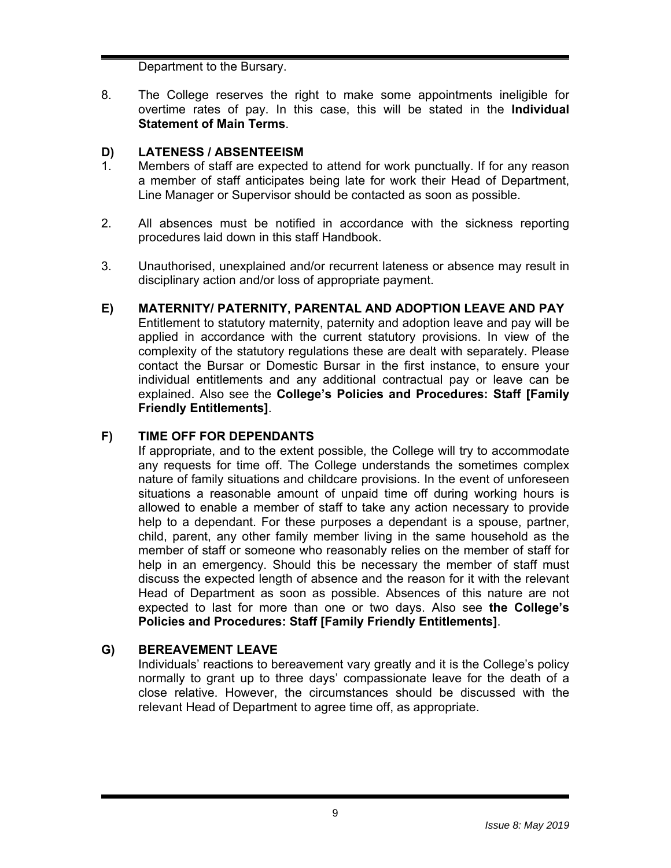Department to the Bursary.

8. The College reserves the right to make some appointments ineligible for overtime rates of pay. In this case, this will be stated in the **Individual Statement of Main Terms**.

### **D) LATENESS / ABSENTEEISM**

- 1. Members of staff are expected to attend for work punctually. If for any reason a member of staff anticipates being late for work their Head of Department, Line Manager or Supervisor should be contacted as soon as possible.
- 2. All absences must be notified in accordance with the sickness reporting procedures laid down in this staff Handbook.
- 3. Unauthorised, unexplained and/or recurrent lateness or absence may result in disciplinary action and/or loss of appropriate payment.
- **E) MATERNITY/ PATERNITY, PARENTAL AND ADOPTION LEAVE AND PAY**  Entitlement to statutory maternity, paternity and adoption leave and pay will be applied in accordance with the current statutory provisions. In view of the complexity of the statutory regulations these are dealt with separately. Please contact the Bursar or Domestic Bursar in the first instance, to ensure your individual entitlements and any additional contractual pay or leave can be explained. Also see the **College's Policies and Procedures: Staff [Family Friendly Entitlements]**.

### **F) TIME OFF FOR DEPENDANTS**

If appropriate, and to the extent possible, the College will try to accommodate any requests for time off. The College understands the sometimes complex nature of family situations and childcare provisions. In the event of unforeseen situations a reasonable amount of unpaid time off during working hours is allowed to enable a member of staff to take any action necessary to provide help to a dependant. For these purposes a dependant is a spouse, partner, child, parent, any other family member living in the same household as the member of staff or someone who reasonably relies on the member of staff for help in an emergency. Should this be necessary the member of staff must discuss the expected length of absence and the reason for it with the relevant Head of Department as soon as possible. Absences of this nature are not expected to last for more than one or two days. Also see **the College's Policies and Procedures: Staff [Family Friendly Entitlements]**.

# **G) BEREAVEMENT LEAVE**

Individuals' reactions to bereavement vary greatly and it is the College's policy normally to grant up to three days' compassionate leave for the death of a close relative. However, the circumstances should be discussed with the relevant Head of Department to agree time off, as appropriate.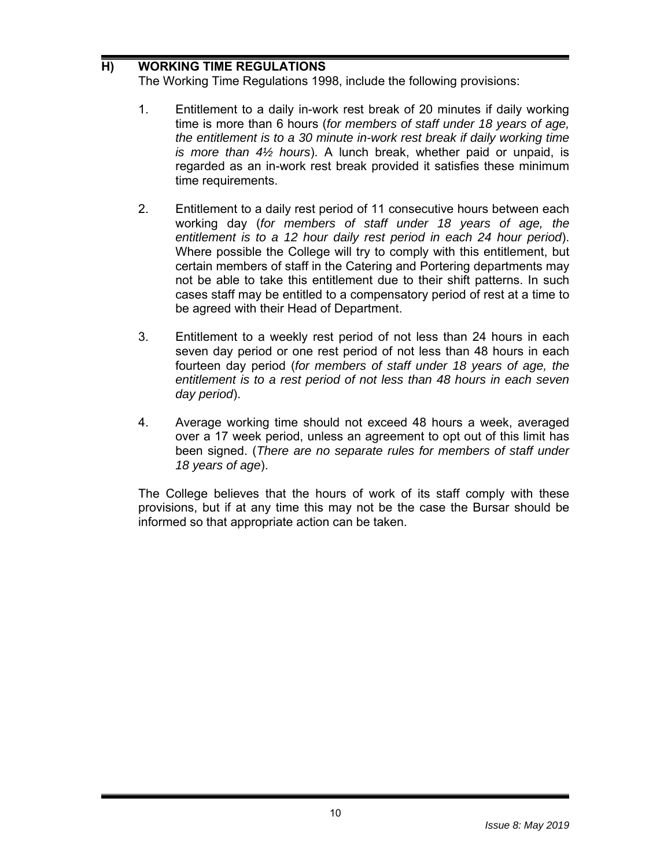# **H) WORKING TIME REGULATIONS**

The Working Time Regulations 1998, include the following provisions:

- 1. Entitlement to a daily in-work rest break of 20 minutes if daily working time is more than 6 hours (*for members of staff under 18 years of age, the entitlement is to a 30 minute in-work rest break if daily working time is more than 4½ hours*). A lunch break, whether paid or unpaid, is regarded as an in-work rest break provided it satisfies these minimum time requirements.
- 2. Entitlement to a daily rest period of 11 consecutive hours between each working day (*for members of staff under 18 years of age, the entitlement is to a 12 hour daily rest period in each 24 hour period*). Where possible the College will try to comply with this entitlement, but certain members of staff in the Catering and Portering departments may not be able to take this entitlement due to their shift patterns. In such cases staff may be entitled to a compensatory period of rest at a time to be agreed with their Head of Department.
- 3. Entitlement to a weekly rest period of not less than 24 hours in each seven day period or one rest period of not less than 48 hours in each fourteen day period (*for members of staff under 18 years of age, the entitlement is to a rest period of not less than 48 hours in each seven day period*).
- 4. Average working time should not exceed 48 hours a week, averaged over a 17 week period, unless an agreement to opt out of this limit has been signed. (*There are no separate rules for members of staff under 18 years of age*).

The College believes that the hours of work of its staff comply with these provisions, but if at any time this may not be the case the Bursar should be informed so that appropriate action can be taken.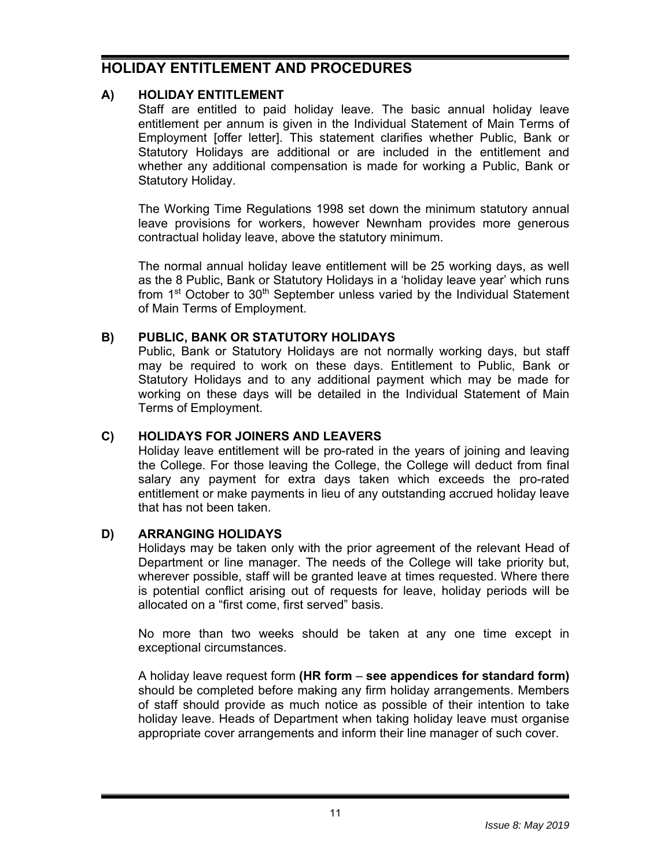# **HOLIDAY ENTITLEMENT AND PROCEDURES**

# **A) HOLIDAY ENTITLEMENT**

Staff are entitled to paid holiday leave. The basic annual holiday leave entitlement per annum is given in the Individual Statement of Main Terms of Employment [offer letter]. This statement clarifies whether Public, Bank or Statutory Holidays are additional or are included in the entitlement and whether any additional compensation is made for working a Public, Bank or Statutory Holiday.

The Working Time Regulations 1998 set down the minimum statutory annual leave provisions for workers, however Newnham provides more generous contractual holiday leave, above the statutory minimum.

The normal annual holiday leave entitlement will be 25 working days, as well as the 8 Public, Bank or Statutory Holidays in a 'holiday leave year' which runs from  $1<sup>st</sup> October to  $30<sup>th</sup>$  September unless varied by the Individual Statement$ of Main Terms of Employment.

# **B) PUBLIC, BANK OR STATUTORY HOLIDAYS**

Public, Bank or Statutory Holidays are not normally working days, but staff may be required to work on these days. Entitlement to Public, Bank or Statutory Holidays and to any additional payment which may be made for working on these days will be detailed in the Individual Statement of Main Terms of Employment.

# **C) HOLIDAYS FOR JOINERS AND LEAVERS**

Holiday leave entitlement will be pro-rated in the years of joining and leaving the College. For those leaving the College, the College will deduct from final salary any payment for extra days taken which exceeds the pro-rated entitlement or make payments in lieu of any outstanding accrued holiday leave that has not been taken.

# **D) ARRANGING HOLIDAYS**

Holidays may be taken only with the prior agreement of the relevant Head of Department or line manager. The needs of the College will take priority but, wherever possible, staff will be granted leave at times requested. Where there is potential conflict arising out of requests for leave, holiday periods will be allocated on a "first come, first served" basis.

No more than two weeks should be taken at any one time except in exceptional circumstances.

A holiday leave request form **(HR form** – **see appendices for standard form)** should be completed before making any firm holiday arrangements. Members of staff should provide as much notice as possible of their intention to take holiday leave. Heads of Department when taking holiday leave must organise appropriate cover arrangements and inform their line manager of such cover.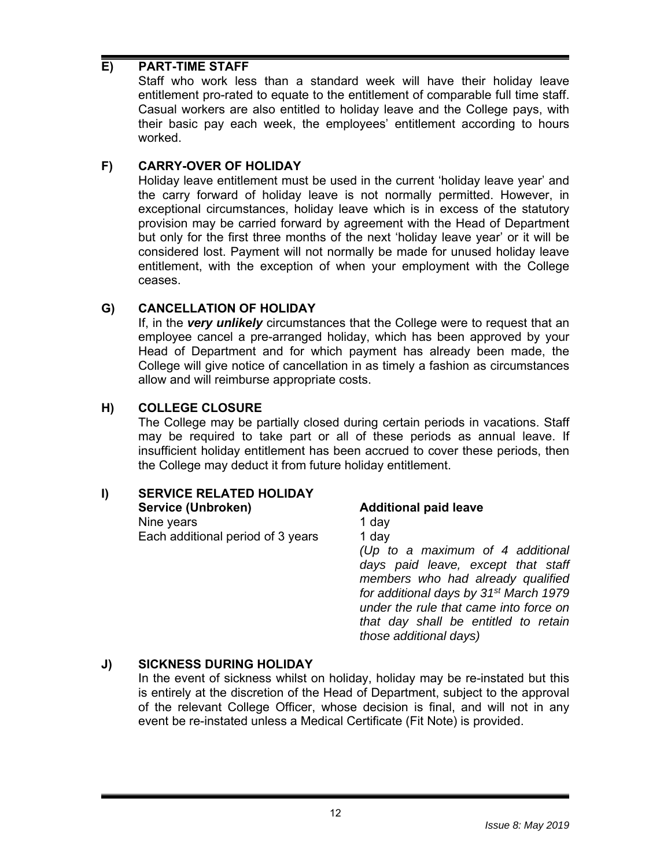### **E) PART-TIME STAFF**

Staff who work less than a standard week will have their holiday leave entitlement pro-rated to equate to the entitlement of comparable full time staff. Casual workers are also entitled to holiday leave and the College pays, with their basic pay each week, the employees' entitlement according to hours worked.

### **F) CARRY-OVER OF HOLIDAY**

Holiday leave entitlement must be used in the current 'holiday leave year' and the carry forward of holiday leave is not normally permitted. However, in exceptional circumstances, holiday leave which is in excess of the statutory provision may be carried forward by agreement with the Head of Department but only for the first three months of the next 'holiday leave year' or it will be considered lost. Payment will not normally be made for unused holiday leave entitlement, with the exception of when your employment with the College ceases.

### **G) CANCELLATION OF HOLIDAY**

If, in the *very unlikely* circumstances that the College were to request that an employee cancel a pre-arranged holiday, which has been approved by your Head of Department and for which payment has already been made, the College will give notice of cancellation in as timely a fashion as circumstances allow and will reimburse appropriate costs.

### **H) COLLEGE CLOSURE**

The College may be partially closed during certain periods in vacations. Staff may be required to take part or all of these periods as annual leave. If insufficient holiday entitlement has been accrued to cover these periods, then the College may deduct it from future holiday entitlement.

# **I) SERVICE RELATED HOLIDAY**

| Service (Unbroken)                | <b>Additional paid leave</b>                       |
|-----------------------------------|----------------------------------------------------|
| Nine years                        | 1 day                                              |
| Each additional period of 3 years | 1 day                                              |
|                                   | (Up to a maximum of 4 additional                   |
|                                   | days paid leave, except that staff                 |
|                                   | members who had already qualified                  |
|                                   | for additional days by 31 <sup>st</sup> March 1979 |
|                                   | under the rule that came into force on             |
|                                   | that day shall be entitled to retain               |
|                                   | those additional days)                             |
|                                   |                                                    |

# **J) SICKNESS DURING HOLIDAY**

In the event of sickness whilst on holiday, holiday may be re-instated but this is entirely at the discretion of the Head of Department, subject to the approval of the relevant College Officer, whose decision is final, and will not in any event be re-instated unless a Medical Certificate (Fit Note) is provided.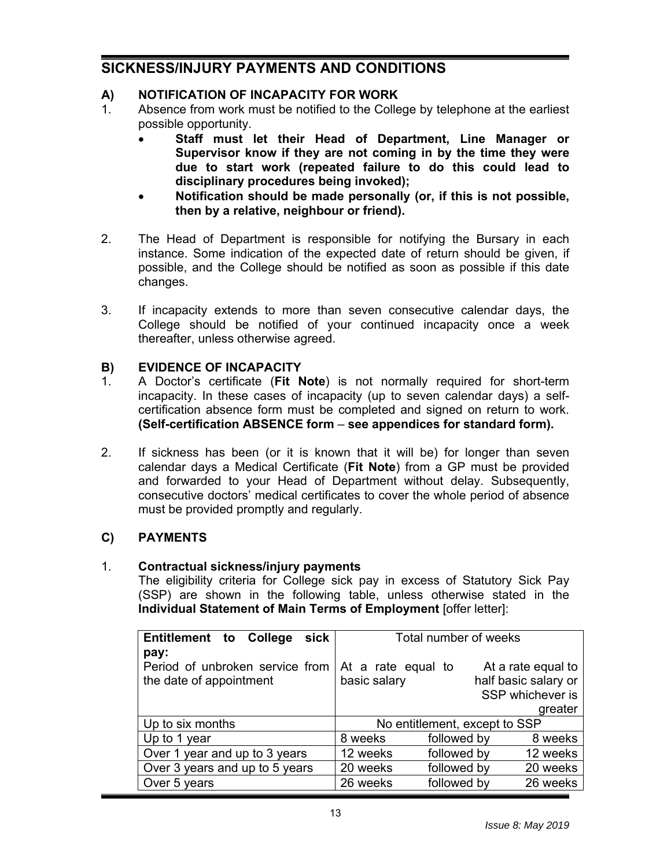# **SICKNESS/INJURY PAYMENTS AND CONDITIONS**

# **A) NOTIFICATION OF INCAPACITY FOR WORK**

- 1. Absence from work must be notified to the College by telephone at the earliest possible opportunity.
	- **Staff must let their Head of Department, Line Manager or Supervisor know if they are not coming in by the time they were due to start work (repeated failure to do this could lead to disciplinary procedures being invoked);**
	- **Notification should be made personally (or, if this is not possible, then by a relative, neighbour or friend).**
- 2. The Head of Department is responsible for notifying the Bursary in each instance. Some indication of the expected date of return should be given, if possible, and the College should be notified as soon as possible if this date changes.
- 3. If incapacity extends to more than seven consecutive calendar days, the College should be notified of your continued incapacity once a week thereafter, unless otherwise agreed.

#### **B) EVIDENCE OF INCAPACITY**

- 1. A Doctor's certificate (**Fit Note**) is not normally required for short-term incapacity. In these cases of incapacity (up to seven calendar days) a selfcertification absence form must be completed and signed on return to work. **(Self-certification ABSENCE form** – **see appendices for standard form).**
- 2. If sickness has been (or it is known that it will be) for longer than seven calendar days a Medical Certificate (**Fit Note**) from a GP must be provided and forwarded to your Head of Department without delay. Subsequently, consecutive doctors' medical certificates to cover the whole period of absence must be provided promptly and regularly.

#### **C) PAYMENTS**

#### 1. **Contractual sickness/injury payments**

The eligibility criteria for College sick pay in excess of Statutory Sick Pay (SSP) are shown in the following table, unless otherwise stated in the **Individual Statement of Main Terms of Employment** [offer letter]:

| sick<br><b>Entitlement to College</b>                              | Total number of weeks              |                                                                           |  |
|--------------------------------------------------------------------|------------------------------------|---------------------------------------------------------------------------|--|
| pay:<br>Period of unbroken service from<br>the date of appointment | At a rate equal to<br>basic salary | At a rate equal to<br>half basic salary or<br>SSP whichever is<br>greater |  |
| Up to six months                                                   | No entitlement, except to SSP      |                                                                           |  |
| Up to 1 year                                                       | 8 weeks                            | followed by<br>8 weeks                                                    |  |
| Over 1 year and up to 3 years                                      | 12 weeks                           | followed by<br>12 weeks                                                   |  |
| Over 3 years and up to 5 years                                     | 20 weeks                           | followed by<br>20 weeks                                                   |  |
| Over 5 years                                                       | 26 weeks                           | followed by<br>26 weeks                                                   |  |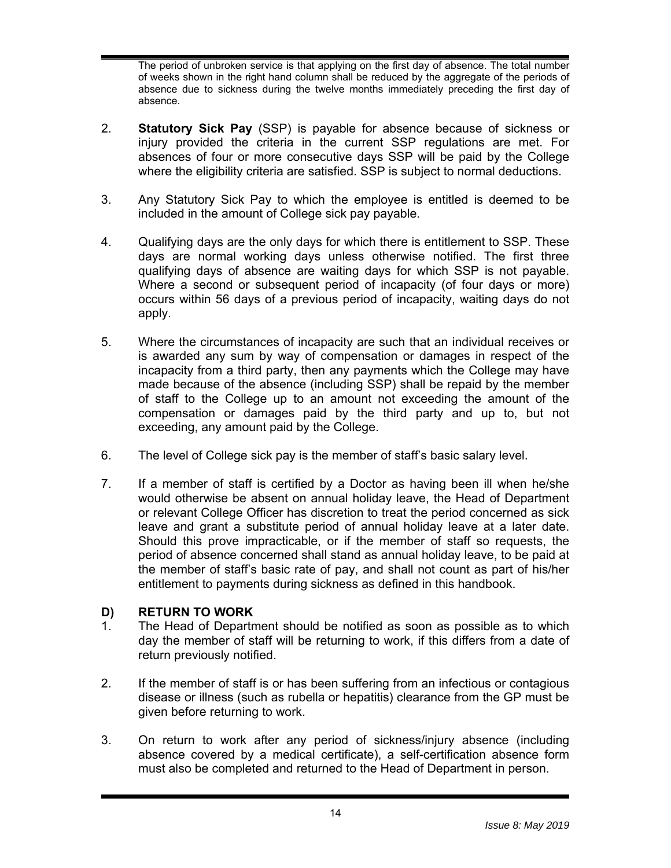The period of unbroken service is that applying on the first day of absence. The total number of weeks shown in the right hand column shall be reduced by the aggregate of the periods of absence due to sickness during the twelve months immediately preceding the first day of absence.

- 2. **Statutory Sick Pay** (SSP) is payable for absence because of sickness or injury provided the criteria in the current SSP regulations are met. For absences of four or more consecutive days SSP will be paid by the College where the eligibility criteria are satisfied. SSP is subject to normal deductions.
- 3. Any Statutory Sick Pay to which the employee is entitled is deemed to be included in the amount of College sick pay payable.
- 4. Qualifying days are the only days for which there is entitlement to SSP. These days are normal working days unless otherwise notified. The first three qualifying days of absence are waiting days for which SSP is not payable. Where a second or subsequent period of incapacity (of four days or more) occurs within 56 days of a previous period of incapacity, waiting days do not apply.
- 5. Where the circumstances of incapacity are such that an individual receives or is awarded any sum by way of compensation or damages in respect of the incapacity from a third party, then any payments which the College may have made because of the absence (including SSP) shall be repaid by the member of staff to the College up to an amount not exceeding the amount of the compensation or damages paid by the third party and up to, but not exceeding, any amount paid by the College.
- 6. The level of College sick pay is the member of staff's basic salary level.
- 7. If a member of staff is certified by a Doctor as having been ill when he/she would otherwise be absent on annual holiday leave, the Head of Department or relevant College Officer has discretion to treat the period concerned as sick leave and grant a substitute period of annual holiday leave at a later date. Should this prove impracticable, or if the member of staff so requests, the period of absence concerned shall stand as annual holiday leave, to be paid at the member of staff's basic rate of pay, and shall not count as part of his/her entitlement to payments during sickness as defined in this handbook.

#### **D) RETURN TO WORK**

- 1. The Head of Department should be notified as soon as possible as to which day the member of staff will be returning to work, if this differs from a date of return previously notified.
- 2. If the member of staff is or has been suffering from an infectious or contagious disease or illness (such as rubella or hepatitis) clearance from the GP must be given before returning to work.
- 3. On return to work after any period of sickness/injury absence (including absence covered by a medical certificate), a self-certification absence form must also be completed and returned to the Head of Department in person.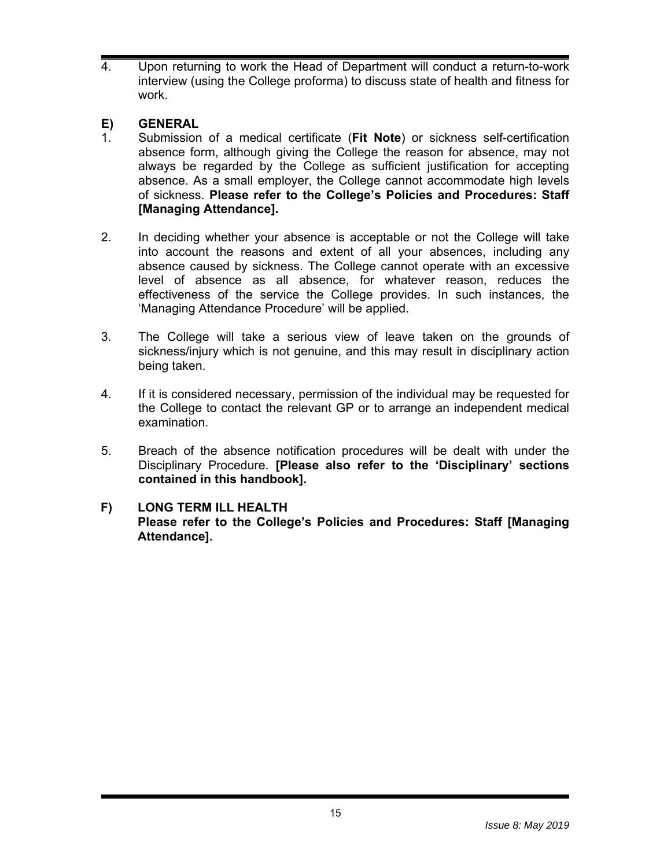4. Upon returning to work the Head of Department will conduct a return-to-work interview (using the College proforma) to discuss state of health and fitness for work.

# **E) GENERAL**

- 1. Submission of a medical certificate (**Fit Note**) or sickness self-certification absence form, although giving the College the reason for absence, may not always be regarded by the College as sufficient justification for accepting absence. As a small employer, the College cannot accommodate high levels of sickness. **Please refer to the College's Policies and Procedures: Staff [Managing Attendance].**
- 2. In deciding whether your absence is acceptable or not the College will take into account the reasons and extent of all your absences, including any absence caused by sickness. The College cannot operate with an excessive level of absence as all absence, for whatever reason, reduces the effectiveness of the service the College provides. In such instances, the 'Managing Attendance Procedure' will be applied.
- 3. The College will take a serious view of leave taken on the grounds of sickness/injury which is not genuine, and this may result in disciplinary action being taken.
- 4. If it is considered necessary, permission of the individual may be requested for the College to contact the relevant GP or to arrange an independent medical examination.
- 5. Breach of the absence notification procedures will be dealt with under the Disciplinary Procedure. **[Please also refer to the 'Disciplinary' sections contained in this handbook].**

#### **F) LONG TERM ILL HEALTH Please refer to the College's Policies and Procedures: Staff [Managing Attendance].**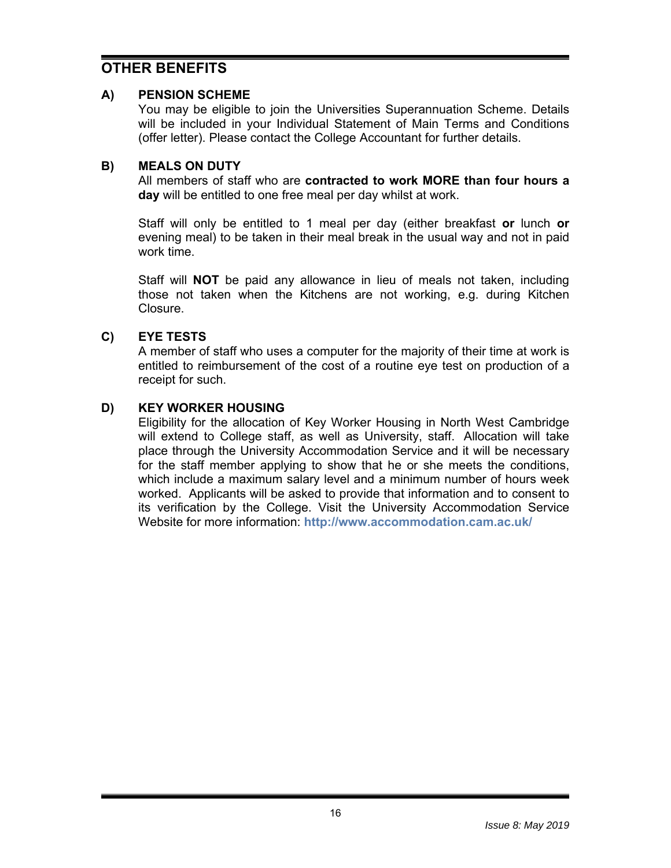# **OTHER BENEFITS**

#### **A) PENSION SCHEME**

You may be eligible to join the Universities Superannuation Scheme. Details will be included in your Individual Statement of Main Terms and Conditions (offer letter). Please contact the College Accountant for further details.

### **B) MEALS ON DUTY**

All members of staff who are **contracted to work MORE than four hours a day** will be entitled to one free meal per day whilst at work.

Staff will only be entitled to 1 meal per day (either breakfast **or** lunch **or** evening meal) to be taken in their meal break in the usual way and not in paid work time.

Staff will **NOT** be paid any allowance in lieu of meals not taken, including those not taken when the Kitchens are not working, e.g. during Kitchen Closure.

### **C) EYE TESTS**

A member of staff who uses a computer for the majority of their time at work is entitled to reimbursement of the cost of a routine eye test on production of a receipt for such.

#### **D) KEY WORKER HOUSING**

Eligibility for the allocation of Key Worker Housing in North West Cambridge will extend to College staff, as well as University, staff. Allocation will take place through the University Accommodation Service and it will be necessary for the staff member applying to show that he or she meets the conditions, which include a maximum salary level and a minimum number of hours week worked. Applicants will be asked to provide that information and to consent to its verification by the College. Visit the University Accommodation Service Website for more information: **http://www.accommodation.cam.ac.uk/**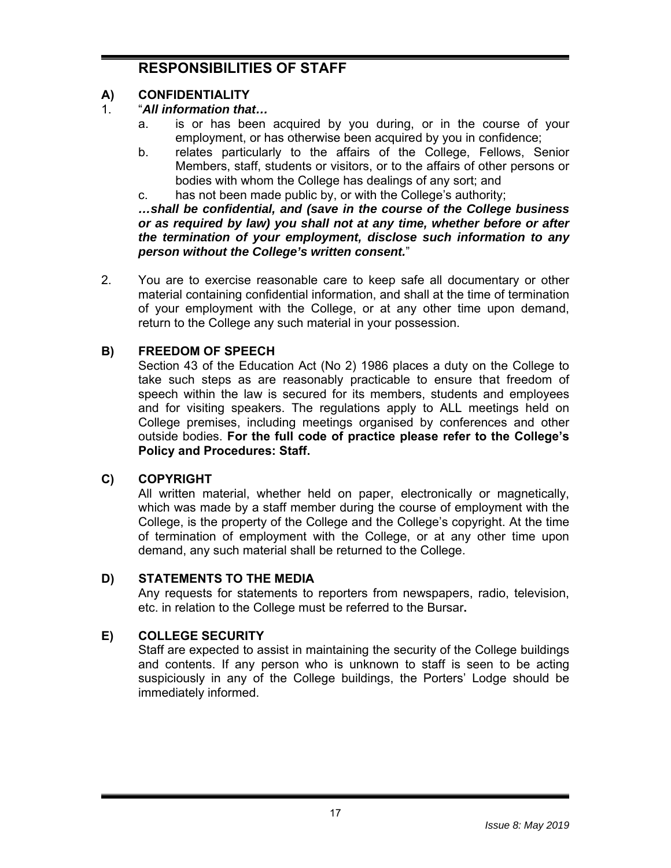# **RESPONSIBILITIES OF STAFF**

# **A) CONFIDENTIALITY**

# 1. "*All information that…*

- a. is or has been acquired by you during, or in the course of your employment, or has otherwise been acquired by you in confidence;
- b. relates particularly to the affairs of the College, Fellows, Senior Members, staff, students or visitors, or to the affairs of other persons or bodies with whom the College has dealings of any sort; and
- c. has not been made public by, or with the College's authority;

*…shall be confidential, and (save in the course of the College business or as required by law) you shall not at any time, whether before or after the termination of your employment, disclose such information to any person without the College's written consent.*"

2. You are to exercise reasonable care to keep safe all documentary or other material containing confidential information, and shall at the time of termination of your employment with the College, or at any other time upon demand, return to the College any such material in your possession.

# **B) FREEDOM OF SPEECH**

Section 43 of the Education Act (No 2) 1986 places a duty on the College to take such steps as are reasonably practicable to ensure that freedom of speech within the law is secured for its members, students and employees and for visiting speakers. The regulations apply to ALL meetings held on College premises, including meetings organised by conferences and other outside bodies. **For the full code of practice please refer to the College's Policy and Procedures: Staff.**

# **C) COPYRIGHT**

All written material, whether held on paper, electronically or magnetically, which was made by a staff member during the course of employment with the College, is the property of the College and the College's copyright. At the time of termination of employment with the College, or at any other time upon demand, any such material shall be returned to the College.

# **D) STATEMENTS TO THE MEDIA**

Any requests for statements to reporters from newspapers, radio, television, etc. in relation to the College must be referred to the Bursar**.** 

# **E) COLLEGE SECURITY**

Staff are expected to assist in maintaining the security of the College buildings and contents. If any person who is unknown to staff is seen to be acting suspiciously in any of the College buildings, the Porters' Lodge should be immediately informed.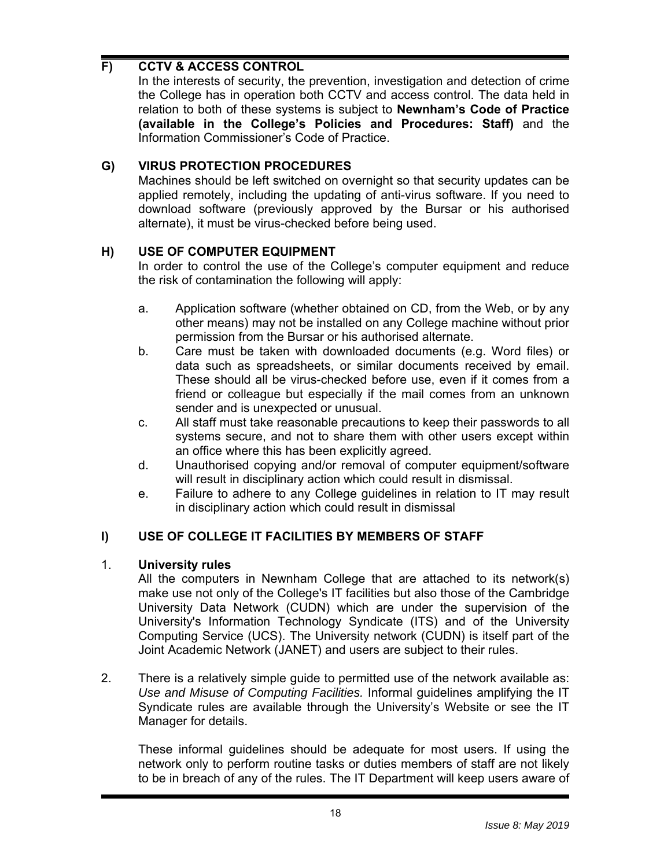# **F) CCTV & ACCESS CONTROL**

In the interests of security, the prevention, investigation and detection of crime the College has in operation both CCTV and access control. The data held in relation to both of these systems is subject to **Newnham's Code of Practice (available in the College's Policies and Procedures: Staff)** and the Information Commissioner's Code of Practice.

# **G) VIRUS PROTECTION PROCEDURES**

Machines should be left switched on overnight so that security updates can be applied remotely, including the updating of anti-virus software. If you need to download software (previously approved by the Bursar or his authorised alternate), it must be virus-checked before being used.

### **H) USE OF COMPUTER EQUIPMENT**

In order to control the use of the College's computer equipment and reduce the risk of contamination the following will apply:

- a. Application software (whether obtained on CD, from the Web, or by any other means) may not be installed on any College machine without prior permission from the Bursar or his authorised alternate.
- b. Care must be taken with downloaded documents (e.g. Word files) or data such as spreadsheets, or similar documents received by email. These should all be virus-checked before use, even if it comes from a friend or colleague but especially if the mail comes from an unknown sender and is unexpected or unusual.
- c. All staff must take reasonable precautions to keep their passwords to all systems secure, and not to share them with other users except within an office where this has been explicitly agreed.
- d. Unauthorised copying and/or removal of computer equipment/software will result in disciplinary action which could result in dismissal.
- e. Failure to adhere to any College guidelines in relation to IT may result in disciplinary action which could result in dismissal

# **I) USE OF COLLEGE IT FACILITIES BY MEMBERS OF STAFF**

#### 1. **University rules**

All the computers in Newnham College that are attached to its network(s) make use not only of the College's IT facilities but also those of the Cambridge University Data Network (CUDN) which are under the supervision of the University's Information Technology Syndicate (ITS) and of the University Computing Service (UCS). The University network (CUDN) is itself part of the Joint Academic Network (JANET) and users are subject to their rules.

2. There is a relatively simple guide to permitted use of the network available as: *Use and Misuse of Computing Facilities.* Informal guidelines amplifying the IT Syndicate rules are available through the University's Website or see the IT Manager for details.

These informal guidelines should be adequate for most users. If using the network only to perform routine tasks or duties members of staff are not likely to be in breach of any of the rules. The IT Department will keep users aware of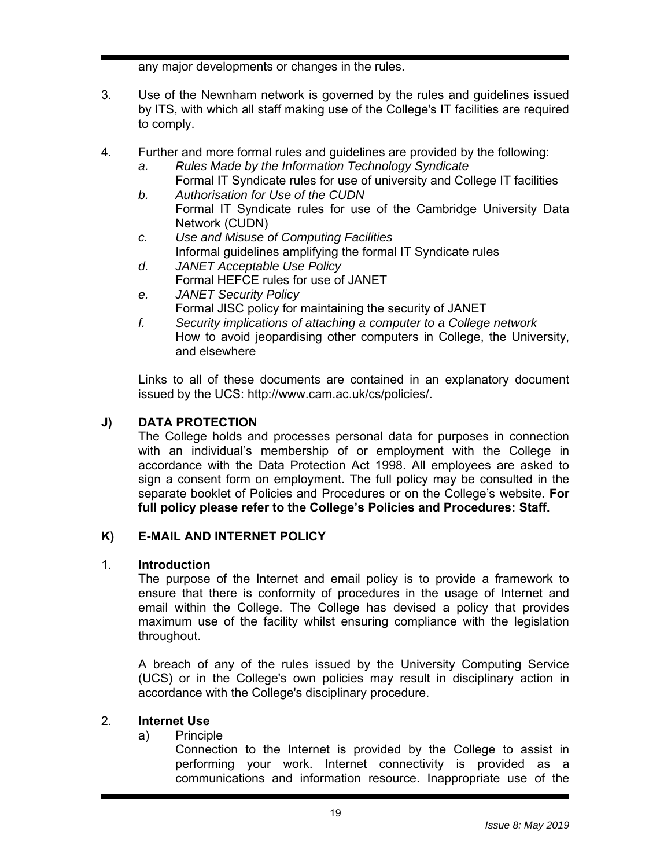any major developments or changes in the rules.

- 3. Use of the Newnham network is governed by the rules and guidelines issued by ITS, with which all staff making use of the College's IT facilities are required to comply.
- 4. Further and more formal rules and guidelines are provided by the following:
	- *a. Rules Made by the Information Technology Syndicate*
	- Formal IT Syndicate rules for use of university and College IT facilities *b. Authorisation for Use of the CUDN* 
		- Formal IT Syndicate rules for use of the Cambridge University Data Network (CUDN)
	- *c. Use and Misuse of Computing Facilities*  Informal guidelines amplifying the formal IT Syndicate rules
	- *d. JANET Acceptable Use Policy*  Formal HEFCE rules for use of JANET
	- *e. JANET Security Policy*  Formal JISC policy for maintaining the security of JANET
	- *f. Security implications of attaching a computer to a College network*  How to avoid jeopardising other computers in College, the University, and elsewhere

Links to all of these documents are contained in an explanatory document issued by the UCS: http://www.cam.ac.uk/cs/policies/.

# **J) DATA PROTECTION**

The College holds and processes personal data for purposes in connection with an individual's membership of or employment with the College in accordance with the Data Protection Act 1998. All employees are asked to sign a consent form on employment. The full policy may be consulted in the separate booklet of Policies and Procedures or on the College's website. **For full policy please refer to the College's Policies and Procedures: Staff.**

# **K) E-MAIL AND INTERNET POLICY**

#### 1. **Introduction**

The purpose of the Internet and email policy is to provide a framework to ensure that there is conformity of procedures in the usage of Internet and email within the College. The College has devised a policy that provides maximum use of the facility whilst ensuring compliance with the legislation throughout.

A breach of any of the rules issued by the University Computing Service (UCS) or in the College's own policies may result in disciplinary action in accordance with the College's disciplinary procedure.

#### 2. **Internet Use**

#### a) Principle

Connection to the Internet is provided by the College to assist in performing your work. Internet connectivity is provided as a communications and information resource. Inappropriate use of the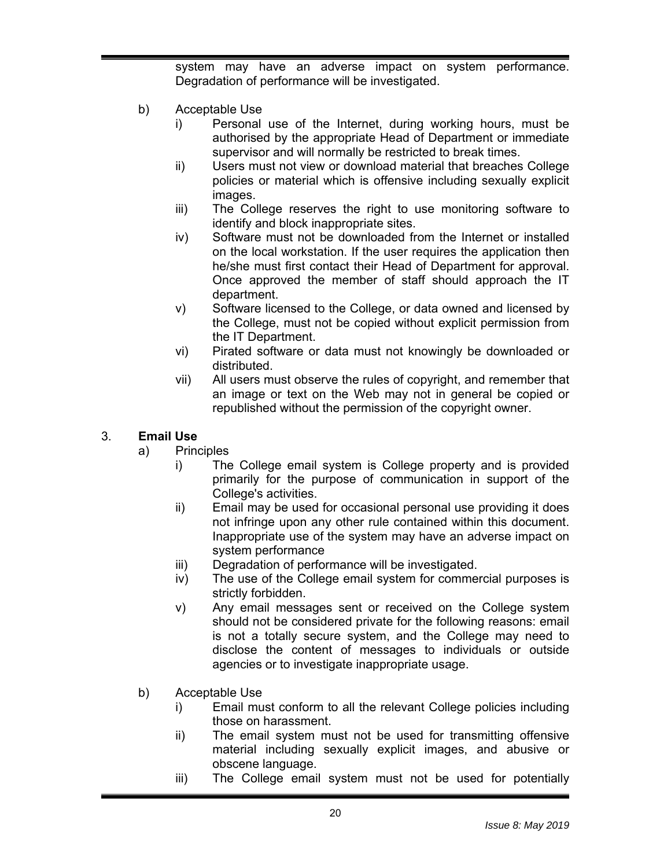system may have an adverse impact on system performance. Degradation of performance will be investigated.

- b) Acceptable Use
	- i) Personal use of the Internet, during working hours, must be authorised by the appropriate Head of Department or immediate supervisor and will normally be restricted to break times.
	- ii) Users must not view or download material that breaches College policies or material which is offensive including sexually explicit images.
	- iii) The College reserves the right to use monitoring software to identify and block inappropriate sites.
	- iv) Software must not be downloaded from the Internet or installed on the local workstation. If the user requires the application then he/she must first contact their Head of Department for approval. Once approved the member of staff should approach the IT department.
	- v) Software licensed to the College, or data owned and licensed by the College, must not be copied without explicit permission from the IT Department.
	- vi) Pirated software or data must not knowingly be downloaded or distributed.
	- vii) All users must observe the rules of copyright, and remember that an image or text on the Web may not in general be copied or republished without the permission of the copyright owner.

# 3. **Email Use**

- a) Principles
	- i) The College email system is College property and is provided primarily for the purpose of communication in support of the College's activities.
	- ii) Email may be used for occasional personal use providing it does not infringe upon any other rule contained within this document. Inappropriate use of the system may have an adverse impact on system performance
	- iii) Degradation of performance will be investigated.
	- iv) The use of the College email system for commercial purposes is strictly forbidden.
	- v) Any email messages sent or received on the College system should not be considered private for the following reasons: email is not a totally secure system, and the College may need to disclose the content of messages to individuals or outside agencies or to investigate inappropriate usage.
- b) Acceptable Use
	- i) Email must conform to all the relevant College policies including those on harassment.
	- ii) The email system must not be used for transmitting offensive material including sexually explicit images, and abusive or obscene language.
	- iii) The College email system must not be used for potentially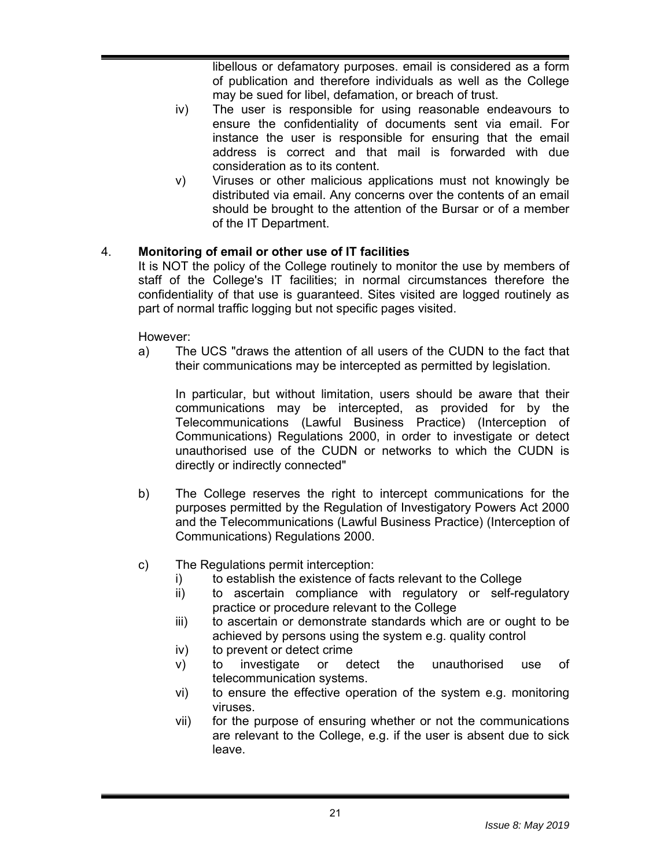libellous or defamatory purposes. email is considered as a form of publication and therefore individuals as well as the College may be sued for libel, defamation, or breach of trust.

- iv) The user is responsible for using reasonable endeavours to ensure the confidentiality of documents sent via email. For instance the user is responsible for ensuring that the email address is correct and that mail is forwarded with due consideration as to its content.
- v) Viruses or other malicious applications must not knowingly be distributed via email. Any concerns over the contents of an email should be brought to the attention of the Bursar or of a member of the IT Department.

### 4. **Monitoring of email or other use of IT facilities**

It is NOT the policy of the College routinely to monitor the use by members of staff of the College's IT facilities; in normal circumstances therefore the confidentiality of that use is guaranteed. Sites visited are logged routinely as part of normal traffic logging but not specific pages visited.

However:

a) The UCS "draws the attention of all users of the CUDN to the fact that their communications may be intercepted as permitted by legislation.

In particular, but without limitation, users should be aware that their communications may be intercepted, as provided for by the Telecommunications (Lawful Business Practice) (Interception of Communications) Regulations 2000, in order to investigate or detect unauthorised use of the CUDN or networks to which the CUDN is directly or indirectly connected"

- b) The College reserves the right to intercept communications for the purposes permitted by the Regulation of Investigatory Powers Act 2000 and the Telecommunications (Lawful Business Practice) (Interception of Communications) Regulations 2000.
- c) The Regulations permit interception:
	- i) to establish the existence of facts relevant to the College
	- ii) to ascertain compliance with regulatory or self-regulatory practice or procedure relevant to the College
	- iii) to ascertain or demonstrate standards which are or ought to be achieved by persons using the system e.g. quality control
	- iv) to prevent or detect crime
	- v) to investigate or detect the unauthorised use of telecommunication systems.
	- vi) to ensure the effective operation of the system e.g. monitoring viruses.
	- vii) for the purpose of ensuring whether or not the communications are relevant to the College, e.g. if the user is absent due to sick leave.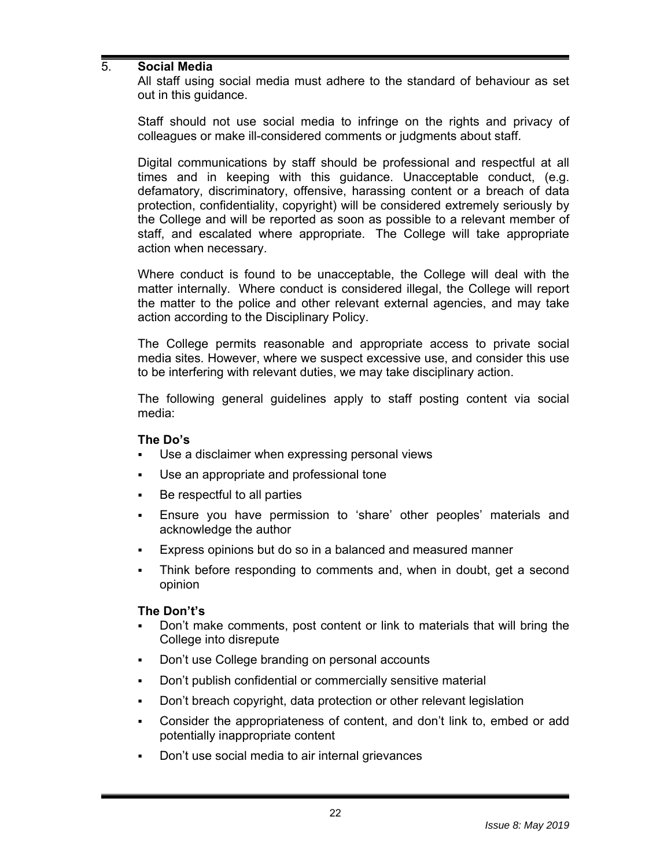#### 5. **Social Media**

All staff using social media must adhere to the standard of behaviour as set out in this guidance.

Staff should not use social media to infringe on the rights and privacy of colleagues or make ill-considered comments or judgments about staff.

Digital communications by staff should be professional and respectful at all times and in keeping with this guidance. Unacceptable conduct, (e.g. defamatory, discriminatory, offensive, harassing content or a breach of data protection, confidentiality, copyright) will be considered extremely seriously by the College and will be reported as soon as possible to a relevant member of staff, and escalated where appropriate. The College will take appropriate action when necessary.

Where conduct is found to be unacceptable, the College will deal with the matter internally. Where conduct is considered illegal, the College will report the matter to the police and other relevant external agencies, and may take action according to the Disciplinary Policy.

The College permits reasonable and appropriate access to private social media sites. However, where we suspect excessive use, and consider this use to be interfering with relevant duties, we may take disciplinary action.

The following general guidelines apply to staff posting content via social media:

#### **The Do's**

- Use a disclaimer when expressing personal views
- Use an appropriate and professional tone
- **Be respectful to all parties**
- Ensure you have permission to 'share' other peoples' materials and acknowledge the author
- Express opinions but do so in a balanced and measured manner
- Think before responding to comments and, when in doubt, get a second opinion

#### **The Don't's**

- Don't make comments, post content or link to materials that will bring the College into disrepute
- Don't use College branding on personal accounts
- Don't publish confidential or commercially sensitive material
- Don't breach copyright, data protection or other relevant legislation
- Consider the appropriateness of content, and don't link to, embed or add potentially inappropriate content
- Don't use social media to air internal grievances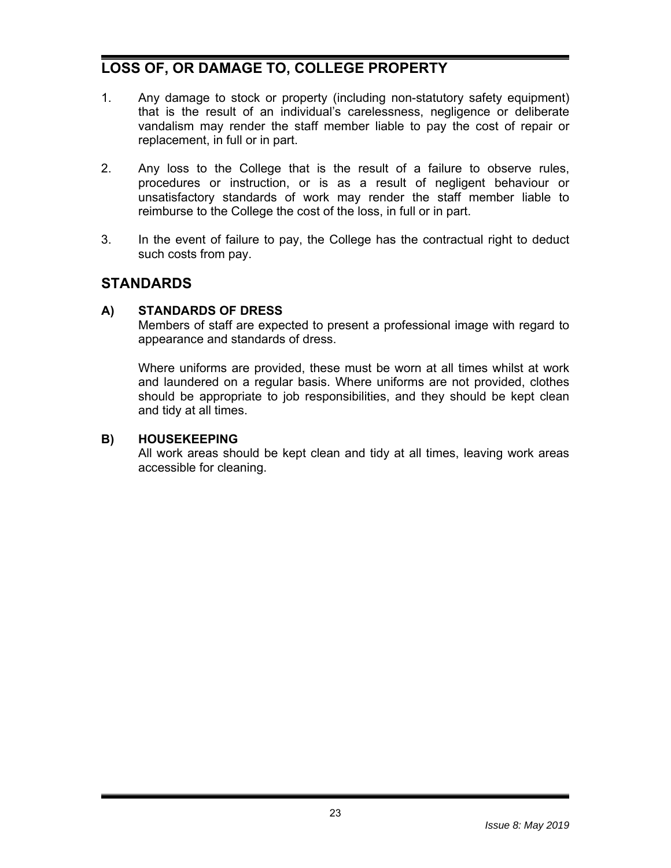# **LOSS OF, OR DAMAGE TO, COLLEGE PROPERTY**

- 1. Any damage to stock or property (including non-statutory safety equipment) that is the result of an individual's carelessness, negligence or deliberate vandalism may render the staff member liable to pay the cost of repair or replacement, in full or in part.
- 2. Any loss to the College that is the result of a failure to observe rules, procedures or instruction, or is as a result of negligent behaviour or unsatisfactory standards of work may render the staff member liable to reimburse to the College the cost of the loss, in full or in part.
- 3. In the event of failure to pay, the College has the contractual right to deduct such costs from pay.

# **STANDARDS**

#### **A) STANDARDS OF DRESS**

Members of staff are expected to present a professional image with regard to appearance and standards of dress.

Where uniforms are provided, these must be worn at all times whilst at work and laundered on a regular basis. Where uniforms are not provided, clothes should be appropriate to job responsibilities, and they should be kept clean and tidy at all times.

#### **B) HOUSEKEEPING**

All work areas should be kept clean and tidy at all times, leaving work areas accessible for cleaning.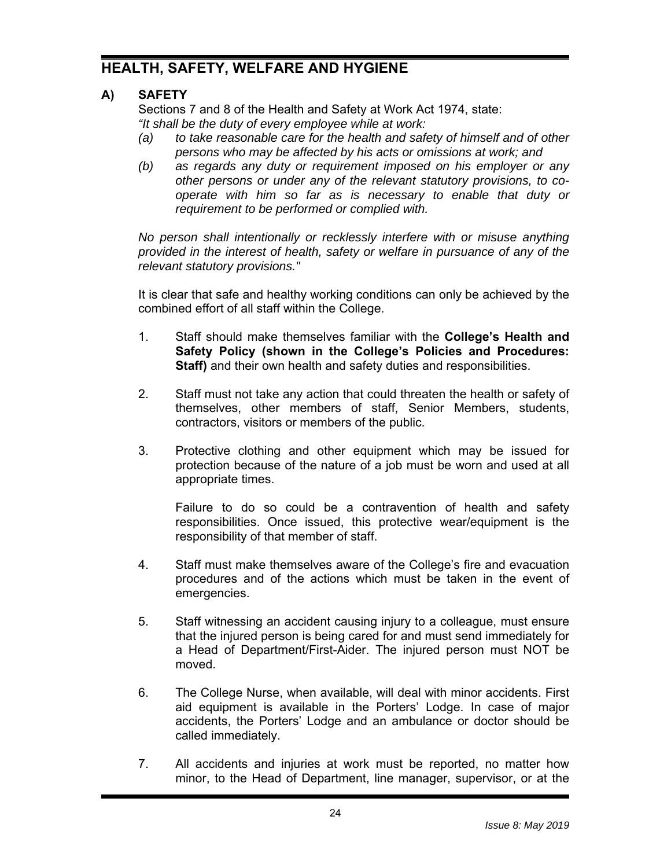# **HEALTH, SAFETY, WELFARE AND HYGIENE**

# **A) SAFETY**

Sections 7 and 8 of the Health and Safety at Work Act 1974, state: *"It shall be the duty of every employee while at work:* 

- *(a) to take reasonable care for the health and safety of himself and of other persons who may be affected by his acts or omissions at work; and*
- *(b) as regards any duty or requirement imposed on his employer or any other persons or under any of the relevant statutory provisions, to cooperate with him so far as is necessary to enable that duty or requirement to be performed or complied with.*

*No person shall intentionally or recklessly interfere with or misuse anything provided in the interest of health, safety or welfare in pursuance of any of the relevant statutory provisions."*

It is clear that safe and healthy working conditions can only be achieved by the combined effort of all staff within the College.

- 1. Staff should make themselves familiar with the **College's Health and Safety Policy (shown in the College's Policies and Procedures: Staff)** and their own health and safety duties and responsibilities.
- 2. Staff must not take any action that could threaten the health or safety of themselves, other members of staff, Senior Members, students, contractors, visitors or members of the public.
- 3. Protective clothing and other equipment which may be issued for protection because of the nature of a job must be worn and used at all appropriate times.

Failure to do so could be a contravention of health and safety responsibilities. Once issued, this protective wear/equipment is the responsibility of that member of staff.

- 4. Staff must make themselves aware of the College's fire and evacuation procedures and of the actions which must be taken in the event of emergencies.
- 5. Staff witnessing an accident causing injury to a colleague, must ensure that the injured person is being cared for and must send immediately for a Head of Department/First-Aider. The injured person must NOT be moved.
- 6. The College Nurse, when available, will deal with minor accidents. First aid equipment is available in the Porters' Lodge. In case of major accidents, the Porters' Lodge and an ambulance or doctor should be called immediately.
- 7. All accidents and injuries at work must be reported, no matter how minor, to the Head of Department, line manager, supervisor, or at the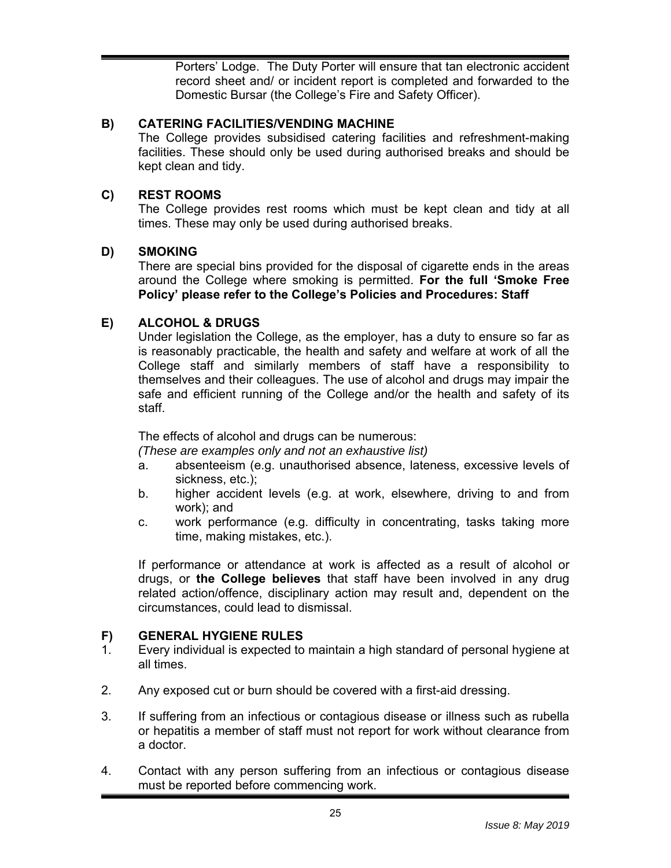Porters' Lodge. The Duty Porter will ensure that tan electronic accident record sheet and/ or incident report is completed and forwarded to the Domestic Bursar (the College's Fire and Safety Officer).

#### **B) CATERING FACILITIES/VENDING MACHINE**

The College provides subsidised catering facilities and refreshment-making facilities. These should only be used during authorised breaks and should be kept clean and tidy.

# **C) REST ROOMS**

The College provides rest rooms which must be kept clean and tidy at all times. These may only be used during authorised breaks.

### **D) SMOKING**

There are special bins provided for the disposal of cigarette ends in the areas around the College where smoking is permitted. **For the full 'Smoke Free Policy' please refer to the College's Policies and Procedures: Staff**

### **E) ALCOHOL & DRUGS**

Under legislation the College, as the employer, has a duty to ensure so far as is reasonably practicable, the health and safety and welfare at work of all the College staff and similarly members of staff have a responsibility to themselves and their colleagues. The use of alcohol and drugs may impair the safe and efficient running of the College and/or the health and safety of its staff.

The effects of alcohol and drugs can be numerous:

*(These are examples only and not an exhaustive list)* 

- a. absenteeism (e.g. unauthorised absence, lateness, excessive levels of sickness, etc.);
- b. higher accident levels (e.g. at work, elsewhere, driving to and from work); and
- c. work performance (e.g. difficulty in concentrating, tasks taking more time, making mistakes, etc.).

If performance or attendance at work is affected as a result of alcohol or drugs, or **the College believes** that staff have been involved in any drug related action/offence, disciplinary action may result and, dependent on the circumstances, could lead to dismissal.

#### **F) GENERAL HYGIENE RULES**

- 1. Every individual is expected to maintain a high standard of personal hygiene at all times.
- 2. Any exposed cut or burn should be covered with a first-aid dressing.
- 3. If suffering from an infectious or contagious disease or illness such as rubella or hepatitis a member of staff must not report for work without clearance from a doctor.
- 4. Contact with any person suffering from an infectious or contagious disease must be reported before commencing work.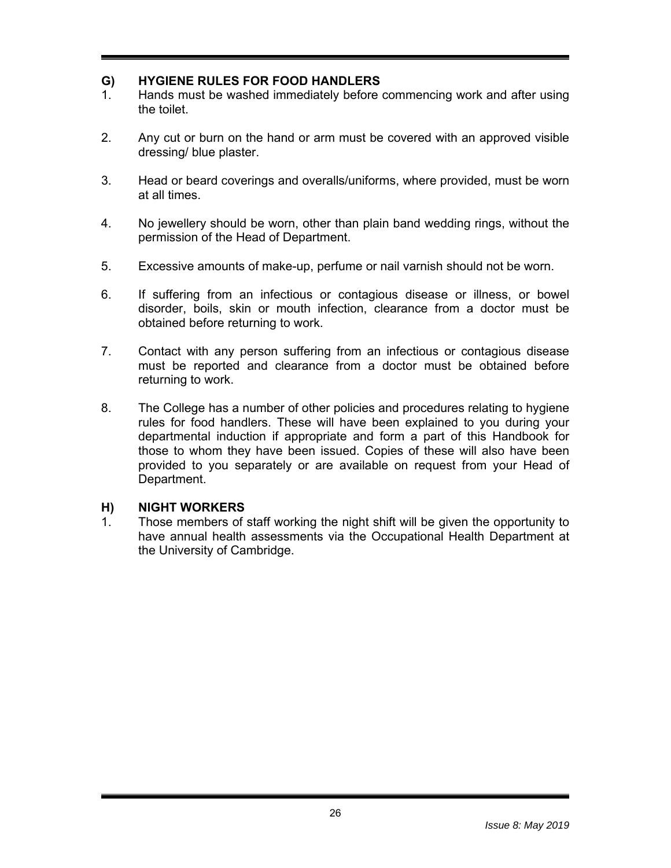#### **G) HYGIENE RULES FOR FOOD HANDLERS**

- 1. Hands must be washed immediately before commencing work and after using the toilet.
- 2. Any cut or burn on the hand or arm must be covered with an approved visible dressing/ blue plaster.
- 3. Head or beard coverings and overalls/uniforms, where provided, must be worn at all times.
- 4. No jewellery should be worn, other than plain band wedding rings, without the permission of the Head of Department.
- 5. Excessive amounts of make-up, perfume or nail varnish should not be worn.
- 6. If suffering from an infectious or contagious disease or illness, or bowel disorder, boils, skin or mouth infection, clearance from a doctor must be obtained before returning to work.
- 7. Contact with any person suffering from an infectious or contagious disease must be reported and clearance from a doctor must be obtained before returning to work.
- 8. The College has a number of other policies and procedures relating to hygiene rules for food handlers. These will have been explained to you during your departmental induction if appropriate and form a part of this Handbook for those to whom they have been issued. Copies of these will also have been provided to you separately or are available on request from your Head of Department.

#### **H) NIGHT WORKERS**

1. Those members of staff working the night shift will be given the opportunity to have annual health assessments via the Occupational Health Department at the University of Cambridge.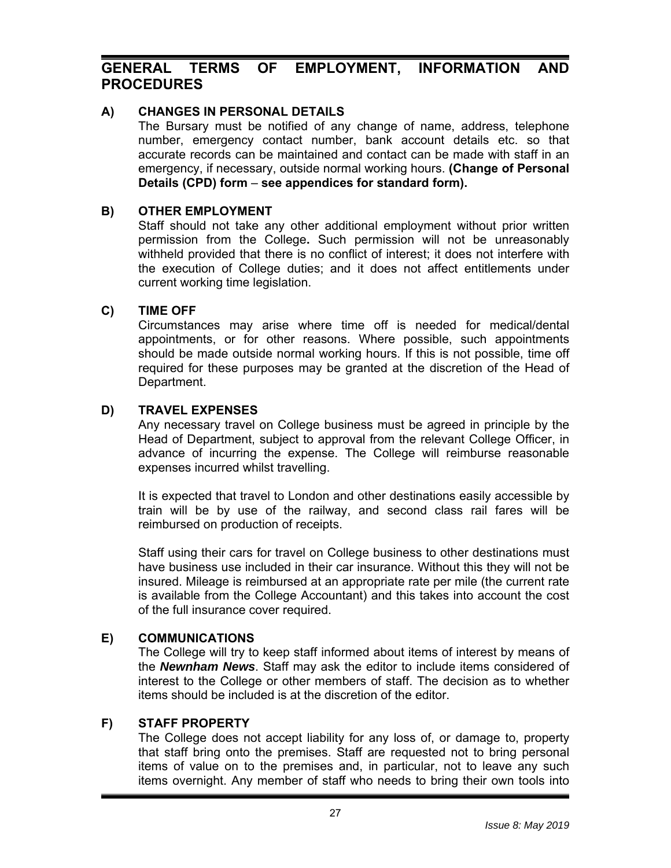# **GENERAL TERMS OF EMPLOYMENT, INFORMATION AND PROCEDURES**

#### **A) CHANGES IN PERSONAL DETAILS**

The Bursary must be notified of any change of name, address, telephone number, emergency contact number, bank account details etc. so that accurate records can be maintained and contact can be made with staff in an emergency, if necessary, outside normal working hours. **(Change of Personal Details (CPD) form** – **see appendices for standard form).**

#### **B) OTHER EMPLOYMENT**

Staff should not take any other additional employment without prior written permission from the College**.** Such permission will not be unreasonably withheld provided that there is no conflict of interest; it does not interfere with the execution of College duties; and it does not affect entitlements under current working time legislation.

#### **C) TIME OFF**

Circumstances may arise where time off is needed for medical/dental appointments, or for other reasons. Where possible, such appointments should be made outside normal working hours. If this is not possible, time off required for these purposes may be granted at the discretion of the Head of Department.

#### **D) TRAVEL EXPENSES**

Any necessary travel on College business must be agreed in principle by the Head of Department, subject to approval from the relevant College Officer, in advance of incurring the expense. The College will reimburse reasonable expenses incurred whilst travelling.

It is expected that travel to London and other destinations easily accessible by train will be by use of the railway, and second class rail fares will be reimbursed on production of receipts.

Staff using their cars for travel on College business to other destinations must have business use included in their car insurance. Without this they will not be insured. Mileage is reimbursed at an appropriate rate per mile (the current rate is available from the College Accountant) and this takes into account the cost of the full insurance cover required.

#### **E) COMMUNICATIONS**

The College will try to keep staff informed about items of interest by means of the *Newnham News*. Staff may ask the editor to include items considered of interest to the College or other members of staff. The decision as to whether items should be included is at the discretion of the editor.

#### **F) STAFF PROPERTY**

The College does not accept liability for any loss of, or damage to, property that staff bring onto the premises. Staff are requested not to bring personal items of value on to the premises and, in particular, not to leave any such items overnight. Any member of staff who needs to bring their own tools into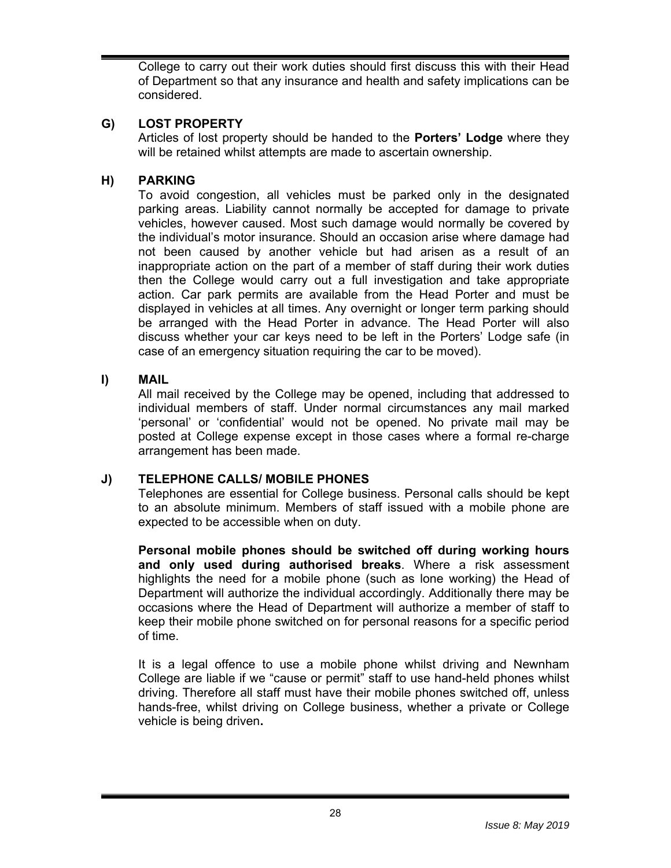College to carry out their work duties should first discuss this with their Head of Department so that any insurance and health and safety implications can be considered.

# **G) LOST PROPERTY**

Articles of lost property should be handed to the **Porters' Lodge** where they will be retained whilst attempts are made to ascertain ownership.

### **H) PARKING**

To avoid congestion, all vehicles must be parked only in the designated parking areas. Liability cannot normally be accepted for damage to private vehicles, however caused. Most such damage would normally be covered by the individual's motor insurance. Should an occasion arise where damage had not been caused by another vehicle but had arisen as a result of an inappropriate action on the part of a member of staff during their work duties then the College would carry out a full investigation and take appropriate action. Car park permits are available from the Head Porter and must be displayed in vehicles at all times. Any overnight or longer term parking should be arranged with the Head Porter in advance. The Head Porter will also discuss whether your car keys need to be left in the Porters' Lodge safe (in case of an emergency situation requiring the car to be moved).

#### **I) MAIL**

All mail received by the College may be opened, including that addressed to individual members of staff. Under normal circumstances any mail marked 'personal' or 'confidential' would not be opened. No private mail may be posted at College expense except in those cases where a formal re-charge arrangement has been made.

#### **J) TELEPHONE CALLS/ MOBILE PHONES**

Telephones are essential for College business. Personal calls should be kept to an absolute minimum. Members of staff issued with a mobile phone are expected to be accessible when on duty.

**Personal mobile phones should be switched off during working hours and only used during authorised breaks**. Where a risk assessment highlights the need for a mobile phone (such as lone working) the Head of Department will authorize the individual accordingly. Additionally there may be occasions where the Head of Department will authorize a member of staff to keep their mobile phone switched on for personal reasons for a specific period of time.

It is a legal offence to use a mobile phone whilst driving and Newnham College are liable if we "cause or permit" staff to use hand-held phones whilst driving. Therefore all staff must have their mobile phones switched off, unless hands-free, whilst driving on College business, whether a private or College vehicle is being driven**.**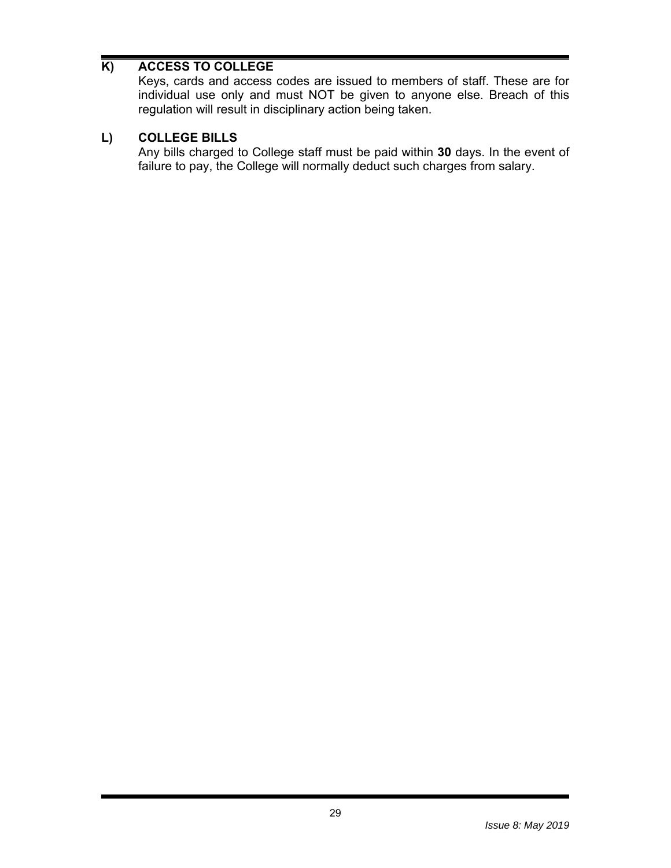# **K) ACCESS TO COLLEGE**

Keys, cards and access codes are issued to members of staff. These are for individual use only and must NOT be given to anyone else. Breach of this regulation will result in disciplinary action being taken.

### **L) COLLEGE BILLS**

Any bills charged to College staff must be paid within **30** days. In the event of failure to pay, the College will normally deduct such charges from salary.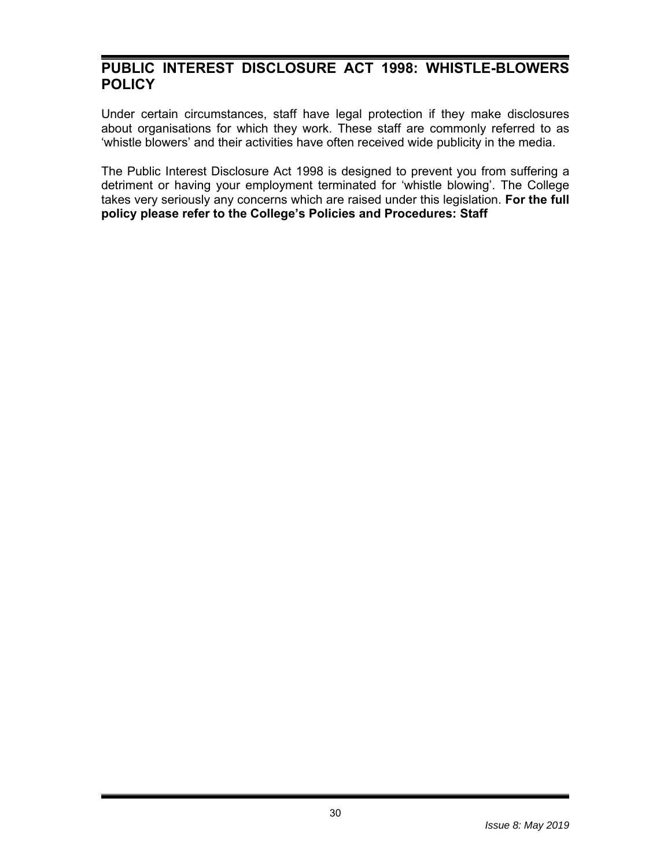# **PUBLIC INTEREST DISCLOSURE ACT 1998: WHISTLE-BLOWERS POLICY**

Under certain circumstances, staff have legal protection if they make disclosures about organisations for which they work. These staff are commonly referred to as 'whistle blowers' and their activities have often received wide publicity in the media.

The Public Interest Disclosure Act 1998 is designed to prevent you from suffering a detriment or having your employment terminated for 'whistle blowing'. The College takes very seriously any concerns which are raised under this legislation. **For the full policy please refer to the College's Policies and Procedures: Staff**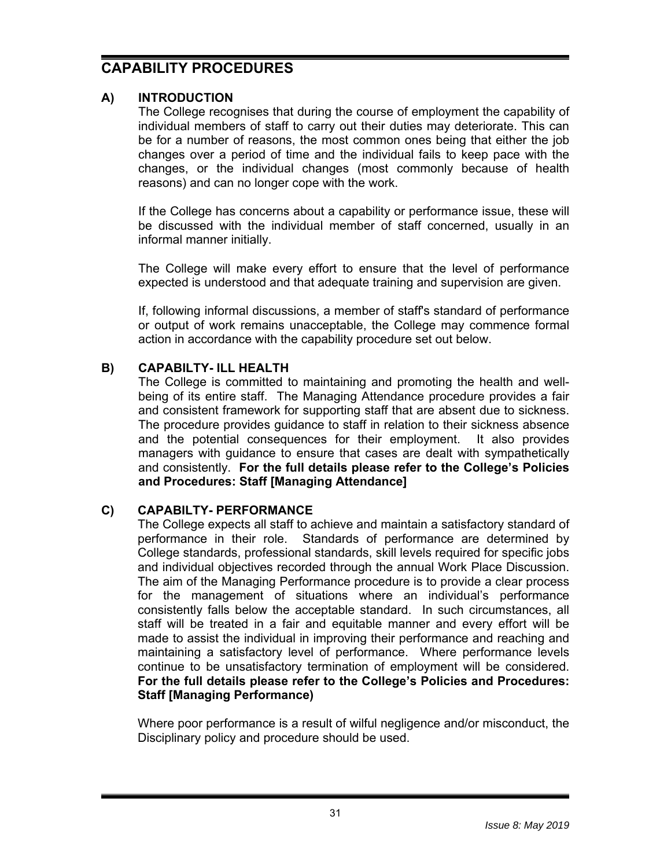# **CAPABILITY PROCEDURES**

# **A) INTRODUCTION**

The College recognises that during the course of employment the capability of individual members of staff to carry out their duties may deteriorate. This can be for a number of reasons, the most common ones being that either the job changes over a period of time and the individual fails to keep pace with the changes, or the individual changes (most commonly because of health reasons) and can no longer cope with the work.

If the College has concerns about a capability or performance issue, these will be discussed with the individual member of staff concerned, usually in an informal manner initially.

The College will make every effort to ensure that the level of performance expected is understood and that adequate training and supervision are given.

If, following informal discussions, a member of staff's standard of performance or output of work remains unacceptable, the College may commence formal action in accordance with the capability procedure set out below.

### **B) CAPABILTY- ILL HEALTH**

The College is committed to maintaining and promoting the health and wellbeing of its entire staff. The Managing Attendance procedure provides a fair and consistent framework for supporting staff that are absent due to sickness. The procedure provides guidance to staff in relation to their sickness absence and the potential consequences for their employment. It also provides managers with guidance to ensure that cases are dealt with sympathetically and consistently. **For the full details please refer to the College's Policies and Procedures: Staff [Managing Attendance]**

#### **C) CAPABILTY- PERFORMANCE**

The College expects all staff to achieve and maintain a satisfactory standard of performance in their role. Standards of performance are determined by College standards, professional standards, skill levels required for specific jobs and individual objectives recorded through the annual Work Place Discussion. The aim of the Managing Performance procedure is to provide a clear process for the management of situations where an individual's performance consistently falls below the acceptable standard. In such circumstances, all staff will be treated in a fair and equitable manner and every effort will be made to assist the individual in improving their performance and reaching and maintaining a satisfactory level of performance. Where performance levels continue to be unsatisfactory termination of employment will be considered. **For the full details please refer to the College's Policies and Procedures: Staff [Managing Performance)**

Where poor performance is a result of wilful negligence and/or misconduct, the Disciplinary policy and procedure should be used.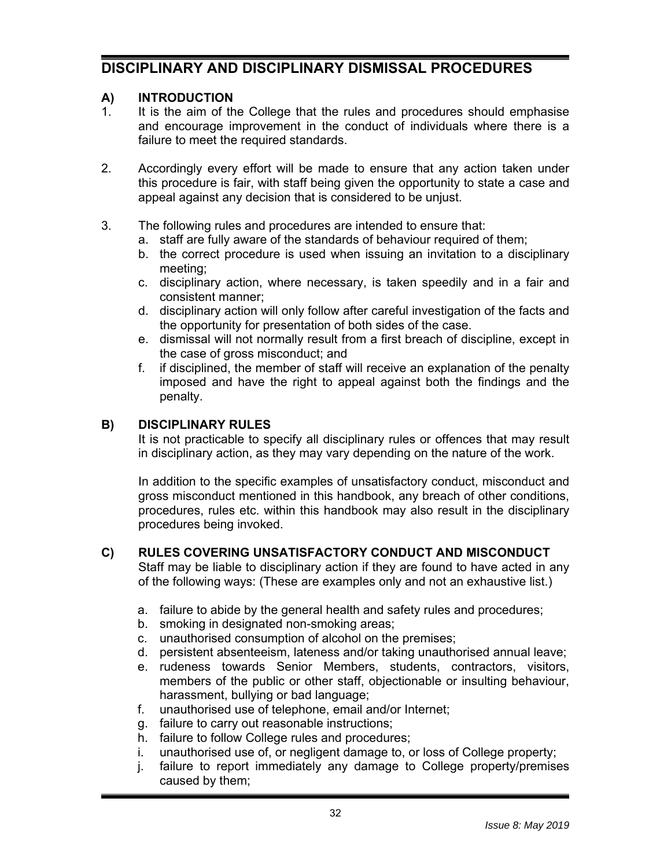# **DISCIPLINARY AND DISCIPLINARY DISMISSAL PROCEDURES**

### **A) INTRODUCTION**

- 1. It is the aim of the College that the rules and procedures should emphasise and encourage improvement in the conduct of individuals where there is a failure to meet the required standards.
- 2. Accordingly every effort will be made to ensure that any action taken under this procedure is fair, with staff being given the opportunity to state a case and appeal against any decision that is considered to be unjust.
- 3. The following rules and procedures are intended to ensure that:
	- a. staff are fully aware of the standards of behaviour required of them;
	- b. the correct procedure is used when issuing an invitation to a disciplinary meeting;
	- c. disciplinary action, where necessary, is taken speedily and in a fair and consistent manner;
	- d. disciplinary action will only follow after careful investigation of the facts and the opportunity for presentation of both sides of the case.
	- e. dismissal will not normally result from a first breach of discipline, except in the case of gross misconduct; and
	- f. if disciplined, the member of staff will receive an explanation of the penalty imposed and have the right to appeal against both the findings and the penalty.

### **B) DISCIPLINARY RULES**

It is not practicable to specify all disciplinary rules or offences that may result in disciplinary action, as they may vary depending on the nature of the work.

In addition to the specific examples of unsatisfactory conduct, misconduct and gross misconduct mentioned in this handbook, any breach of other conditions, procedures, rules etc. within this handbook may also result in the disciplinary procedures being invoked.

#### **C) RULES COVERING UNSATISFACTORY CONDUCT AND MISCONDUCT**

Staff may be liable to disciplinary action if they are found to have acted in any of the following ways: (These are examples only and not an exhaustive list.)

- a. failure to abide by the general health and safety rules and procedures;
- b. smoking in designated non-smoking areas;
- c. unauthorised consumption of alcohol on the premises;
- d. persistent absenteeism, lateness and/or taking unauthorised annual leave;
- e. rudeness towards Senior Members, students, contractors, visitors, members of the public or other staff, objectionable or insulting behaviour, harassment, bullying or bad language;
- f. unauthorised use of telephone, email and/or Internet;
- g. failure to carry out reasonable instructions;
- h. failure to follow College rules and procedures;
- i. unauthorised use of, or negligent damage to, or loss of College property;
- j. failure to report immediately any damage to College property/premises caused by them;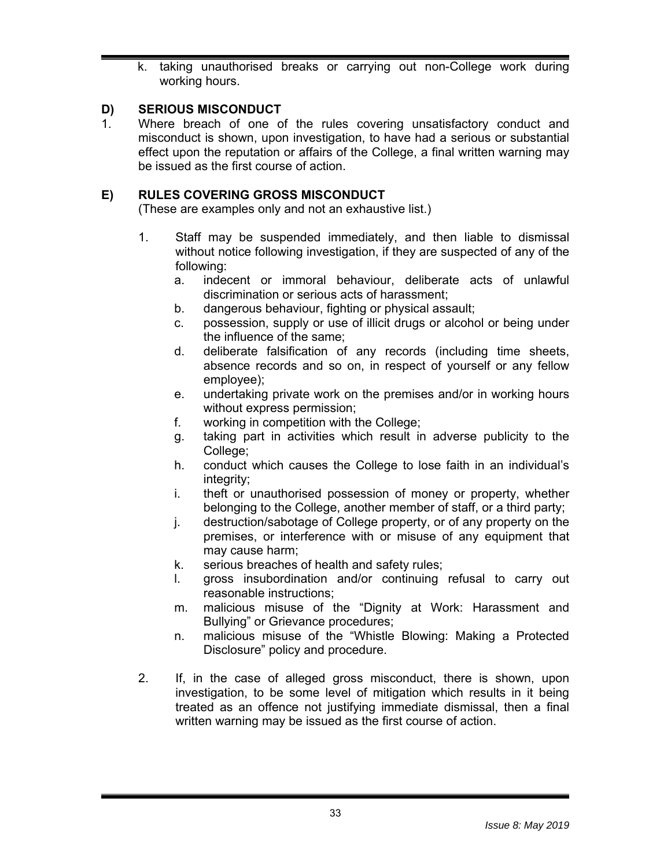k. taking unauthorised breaks or carrying out non-College work during working hours.

# **D) SERIOUS MISCONDUCT**

1. Where breach of one of the rules covering unsatisfactory conduct and misconduct is shown, upon investigation, to have had a serious or substantial effect upon the reputation or affairs of the College, a final written warning may be issued as the first course of action.

# **E) RULES COVERING GROSS MISCONDUCT**

(These are examples only and not an exhaustive list.)

- 1. Staff may be suspended immediately, and then liable to dismissal without notice following investigation, if they are suspected of any of the following:
	- a. indecent or immoral behaviour, deliberate acts of unlawful discrimination or serious acts of harassment;
	- b. dangerous behaviour, fighting or physical assault;
	- c. possession, supply or use of illicit drugs or alcohol or being under the influence of the same;
	- d. deliberate falsification of any records (including time sheets, absence records and so on, in respect of yourself or any fellow employee);
	- e. undertaking private work on the premises and/or in working hours without express permission;
	- f. working in competition with the College;
	- g. taking part in activities which result in adverse publicity to the College:
	- h. conduct which causes the College to lose faith in an individual's integrity;
	- i. theft or unauthorised possession of money or property, whether belonging to the College, another member of staff, or a third party;
	- j. destruction/sabotage of College property, or of any property on the premises, or interference with or misuse of any equipment that may cause harm;
	- k. serious breaches of health and safety rules;
	- l. gross insubordination and/or continuing refusal to carry out reasonable instructions;
	- m. malicious misuse of the "Dignity at Work: Harassment and Bullying" or Grievance procedures;
	- n. malicious misuse of the "Whistle Blowing: Making a Protected Disclosure" policy and procedure.
- 2. If, in the case of alleged gross misconduct, there is shown, upon investigation, to be some level of mitigation which results in it being treated as an offence not justifying immediate dismissal, then a final written warning may be issued as the first course of action.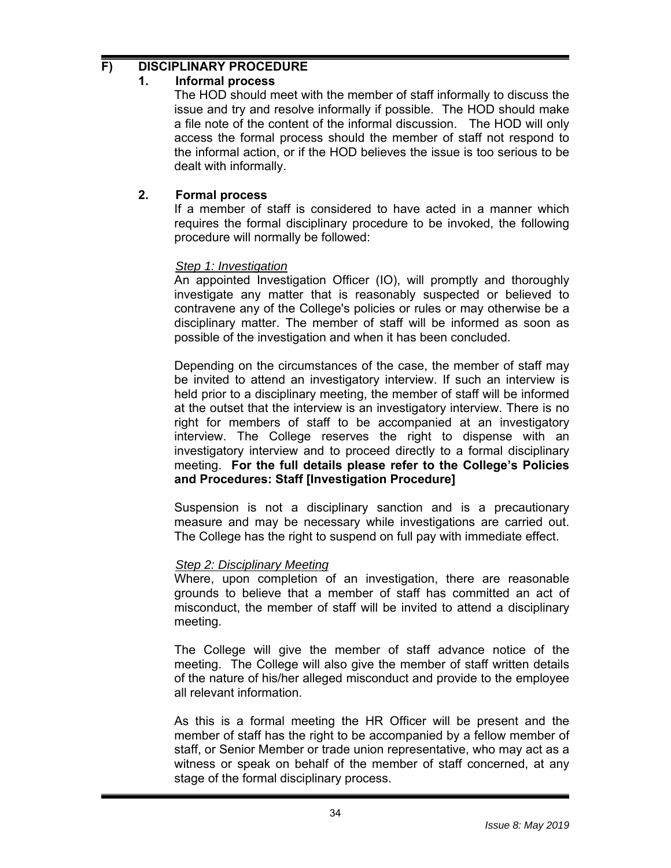# **F) DISCIPLINARY PROCEDURE**

### **1. Informal process**

The HOD should meet with the member of staff informally to discuss the issue and try and resolve informally if possible. The HOD should make a file note of the content of the informal discussion. The HOD will only access the formal process should the member of staff not respond to the informal action, or if the HOD believes the issue is too serious to be dealt with informally.

# **2. Formal process**

If a member of staff is considered to have acted in a manner which requires the formal disciplinary procedure to be invoked, the following procedure will normally be followed:

### *Step 1: Investigation*

An appointed Investigation Officer (IO), will promptly and thoroughly investigate any matter that is reasonably suspected or believed to contravene any of the College's policies or rules or may otherwise be a disciplinary matter. The member of staff will be informed as soon as possible of the investigation and when it has been concluded.

Depending on the circumstances of the case, the member of staff may be invited to attend an investigatory interview. If such an interview is held prior to a disciplinary meeting, the member of staff will be informed at the outset that the interview is an investigatory interview. There is no right for members of staff to be accompanied at an investigatory interview. The College reserves the right to dispense with an investigatory interview and to proceed directly to a formal disciplinary meeting. **For the full details please refer to the College's Policies and Procedures: Staff [Investigation Procedure]**

Suspension is not a disciplinary sanction and is a precautionary measure and may be necessary while investigations are carried out. The College has the right to suspend on full pay with immediate effect.

# *Step 2: Disciplinary Meeting*

Where, upon completion of an investigation, there are reasonable grounds to believe that a member of staff has committed an act of misconduct, the member of staff will be invited to attend a disciplinary meeting.

The College will give the member of staff advance notice of the meeting. The College will also give the member of staff written details of the nature of his/her alleged misconduct and provide to the employee all relevant information.

As this is a formal meeting the HR Officer will be present and the member of staff has the right to be accompanied by a fellow member of staff, or Senior Member or trade union representative, who may act as a witness or speak on behalf of the member of staff concerned, at any stage of the formal disciplinary process.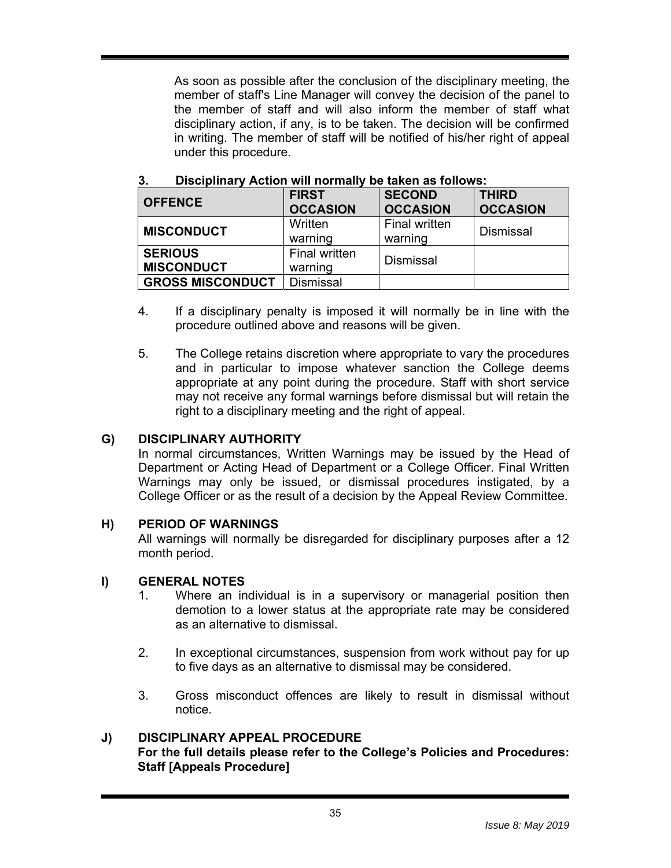As soon as possible after the conclusion of the disciplinary meeting, the member of staff's Line Manager will convey the decision of the panel to the member of staff and will also inform the member of staff what disciplinary action, if any, is to be taken. The decision will be confirmed in writing. The member of staff will be notified of his/her right of appeal under this procedure.

| <b>OFFENCE</b>                      | <b>FIRST</b><br><b>OCCASION</b> | <b>SECOND</b><br><b>OCCASION</b> | <b>THIRD</b><br><b>OCCASION</b> |
|-------------------------------------|---------------------------------|----------------------------------|---------------------------------|
| <b>MISCONDUCT</b>                   | Written<br>warning              | <b>Final written</b><br>warning  | <b>Dismissal</b>                |
| <b>SERIOUS</b><br><b>MISCONDUCT</b> | <b>Final written</b><br>warning | <b>Dismissal</b>                 |                                 |
| <b>GROSS MISCONDUCT</b>             | <b>Dismissal</b>                |                                  |                                 |

#### **3. Disciplinary Action will normally be taken as follows:**

- 4. If a disciplinary penalty is imposed it will normally be in line with the procedure outlined above and reasons will be given.
- 5. The College retains discretion where appropriate to vary the procedures and in particular to impose whatever sanction the College deems appropriate at any point during the procedure. Staff with short service may not receive any formal warnings before dismissal but will retain the right to a disciplinary meeting and the right of appeal.

#### **G) DISCIPLINARY AUTHORITY**

In normal circumstances, Written Warnings may be issued by the Head of Department or Acting Head of Department or a College Officer. Final Written Warnings may only be issued, or dismissal procedures instigated, by a College Officer or as the result of a decision by the Appeal Review Committee.

#### **H) PERIOD OF WARNINGS**

All warnings will normally be disregarded for disciplinary purposes after a 12 month period.

#### **I) GENERAL NOTES**

- 1. Where an individual is in a supervisory or managerial position then demotion to a lower status at the appropriate rate may be considered as an alternative to dismissal.
- 2. In exceptional circumstances, suspension from work without pay for up to five days as an alternative to dismissal may be considered.
- 3. Gross misconduct offences are likely to result in dismissal without notice.

#### **J) DISCIPLINARY APPEAL PROCEDURE For the full details please refer to the College's Policies and Procedures: Staff [Appeals Procedure]**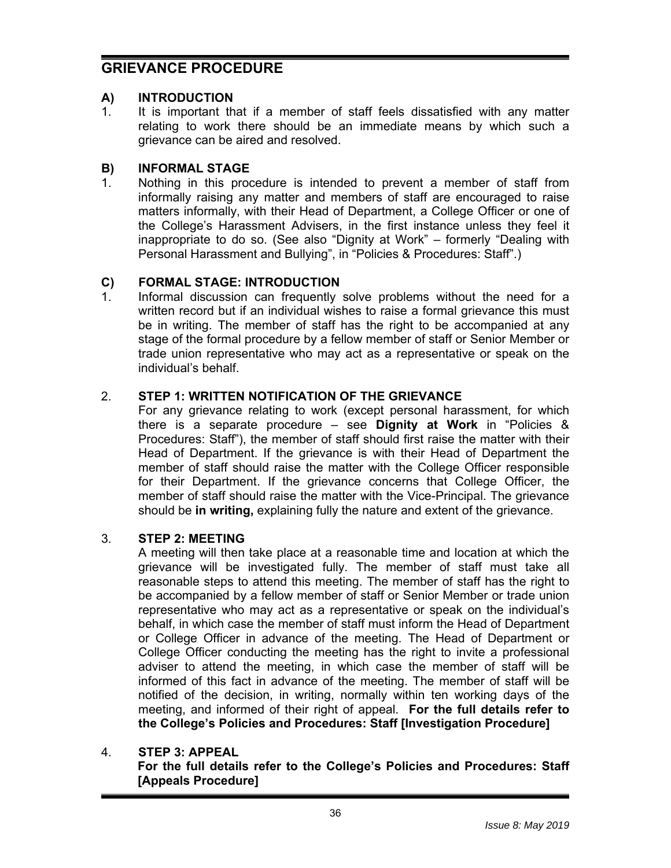# **GRIEVANCE PROCEDURE**

### **A) INTRODUCTION**

1. It is important that if a member of staff feels dissatisfied with any matter relating to work there should be an immediate means by which such a grievance can be aired and resolved.

# **B) INFORMAL STAGE**

1. Nothing in this procedure is intended to prevent a member of staff from informally raising any matter and members of staff are encouraged to raise matters informally, with their Head of Department, a College Officer or one of the College's Harassment Advisers, in the first instance unless they feel it inappropriate to do so. (See also "Dignity at Work" – formerly "Dealing with Personal Harassment and Bullying", in "Policies & Procedures: Staff".)

### **C) FORMAL STAGE: INTRODUCTION**

1. Informal discussion can frequently solve problems without the need for a written record but if an individual wishes to raise a formal grievance this must be in writing. The member of staff has the right to be accompanied at any stage of the formal procedure by a fellow member of staff or Senior Member or trade union representative who may act as a representative or speak on the individual's behalf.

#### 2. **STEP 1: WRITTEN NOTIFICATION OF THE GRIEVANCE**

For any grievance relating to work (except personal harassment, for which there is a separate procedure – see **Dignity at Work** in "Policies & Procedures: Staff"), the member of staff should first raise the matter with their Head of Department. If the grievance is with their Head of Department the member of staff should raise the matter with the College Officer responsible for their Department. If the grievance concerns that College Officer, the member of staff should raise the matter with the Vice-Principal. The grievance should be **in writing,** explaining fully the nature and extent of the grievance.

#### 3. **STEP 2: MEETING**

A meeting will then take place at a reasonable time and location at which the grievance will be investigated fully. The member of staff must take all reasonable steps to attend this meeting. The member of staff has the right to be accompanied by a fellow member of staff or Senior Member or trade union representative who may act as a representative or speak on the individual's behalf, in which case the member of staff must inform the Head of Department or College Officer in advance of the meeting. The Head of Department or College Officer conducting the meeting has the right to invite a professional adviser to attend the meeting, in which case the member of staff will be informed of this fact in advance of the meeting. The member of staff will be notified of the decision, in writing, normally within ten working days of the meeting, and informed of their right of appeal. **For the full details refer to the College's Policies and Procedures: Staff [Investigation Procedure]**

# 4. **STEP 3: APPEAL**

**For the full details refer to the College's Policies and Procedures: Staff [Appeals Procedure]**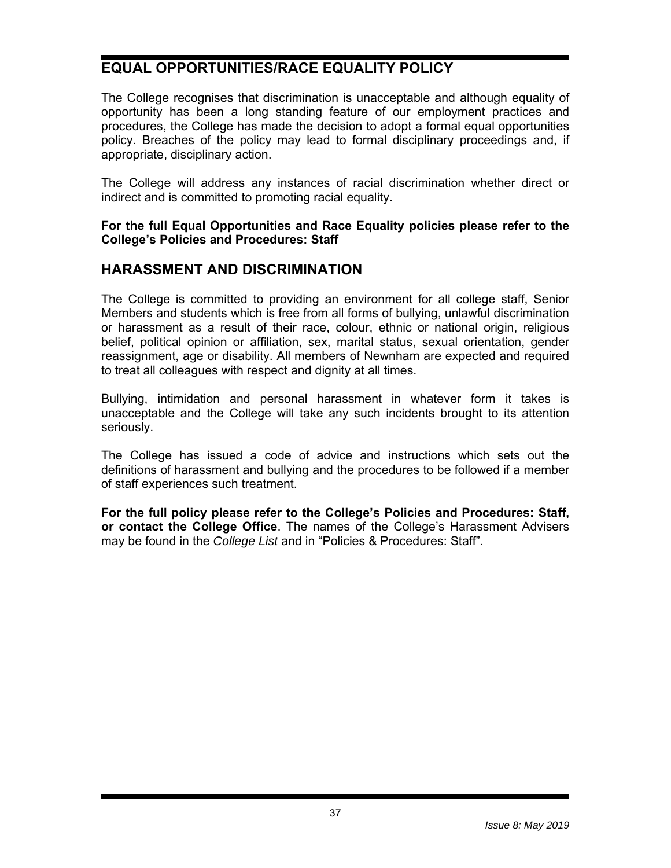# **EQUAL OPPORTUNITIES/RACE EQUALITY POLICY**

The College recognises that discrimination is unacceptable and although equality of opportunity has been a long standing feature of our employment practices and procedures, the College has made the decision to adopt a formal equal opportunities policy. Breaches of the policy may lead to formal disciplinary proceedings and, if appropriate, disciplinary action.

The College will address any instances of racial discrimination whether direct or indirect and is committed to promoting racial equality.

#### **For the full Equal Opportunities and Race Equality policies please refer to the College's Policies and Procedures: Staff**

# **HARASSMENT AND DISCRIMINATION**

The College is committed to providing an environment for all college staff, Senior Members and students which is free from all forms of bullying, unlawful discrimination or harassment as a result of their race, colour, ethnic or national origin, religious belief, political opinion or affiliation, sex, marital status, sexual orientation, gender reassignment, age or disability. All members of Newnham are expected and required to treat all colleagues with respect and dignity at all times.

Bullying, intimidation and personal harassment in whatever form it takes is unacceptable and the College will take any such incidents brought to its attention seriously.

The College has issued a code of advice and instructions which sets out the definitions of harassment and bullying and the procedures to be followed if a member of staff experiences such treatment.

**For the full policy please refer to the College's Policies and Procedures: Staff, or contact the College Office**. The names of the College's Harassment Advisers may be found in the *College List* and in "Policies & Procedures: Staff".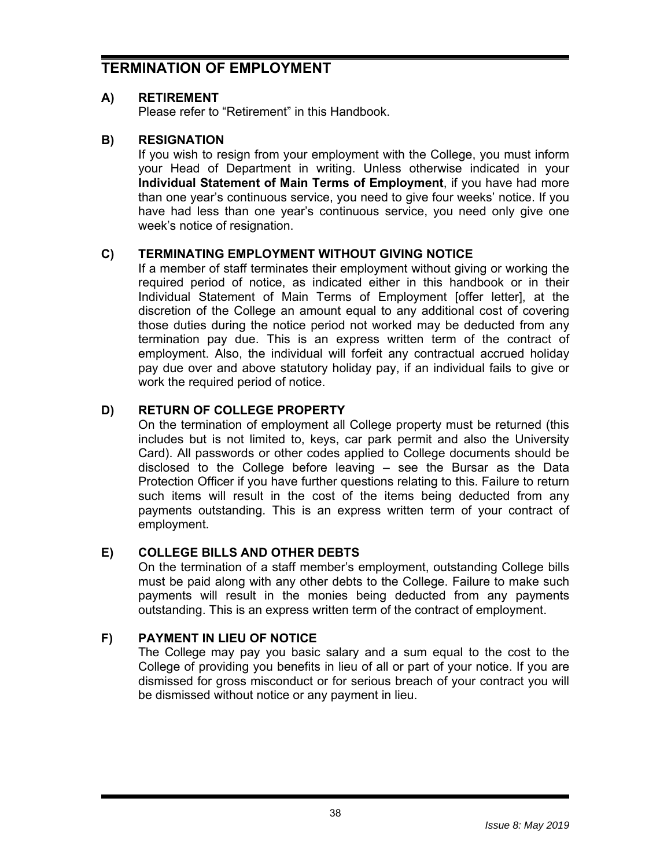# **TERMINATION OF EMPLOYMENT**

### **A) RETIREMENT**

Please refer to "Retirement" in this Handbook.

### **B) RESIGNATION**

If you wish to resign from your employment with the College, you must inform your Head of Department in writing. Unless otherwise indicated in your **Individual Statement of Main Terms of Employment**, if you have had more than one year's continuous service, you need to give four weeks' notice. If you have had less than one year's continuous service, you need only give one week's notice of resignation.

### **C) TERMINATING EMPLOYMENT WITHOUT GIVING NOTICE**

If a member of staff terminates their employment without giving or working the required period of notice, as indicated either in this handbook or in their Individual Statement of Main Terms of Employment [offer letter], at the discretion of the College an amount equal to any additional cost of covering those duties during the notice period not worked may be deducted from any termination pay due. This is an express written term of the contract of employment. Also, the individual will forfeit any contractual accrued holiday pay due over and above statutory holiday pay, if an individual fails to give or work the required period of notice.

# **D) RETURN OF COLLEGE PROPERTY**

On the termination of employment all College property must be returned (this includes but is not limited to, keys, car park permit and also the University Card). All passwords or other codes applied to College documents should be disclosed to the College before leaving – see the Bursar as the Data Protection Officer if you have further questions relating to this. Failure to return such items will result in the cost of the items being deducted from any payments outstanding. This is an express written term of your contract of employment.

#### **E) COLLEGE BILLS AND OTHER DEBTS**

On the termination of a staff member's employment, outstanding College bills must be paid along with any other debts to the College. Failure to make such payments will result in the monies being deducted from any payments outstanding. This is an express written term of the contract of employment.

#### **F) PAYMENT IN LIEU OF NOTICE**

The College may pay you basic salary and a sum equal to the cost to the College of providing you benefits in lieu of all or part of your notice. If you are dismissed for gross misconduct or for serious breach of your contract you will be dismissed without notice or any payment in lieu.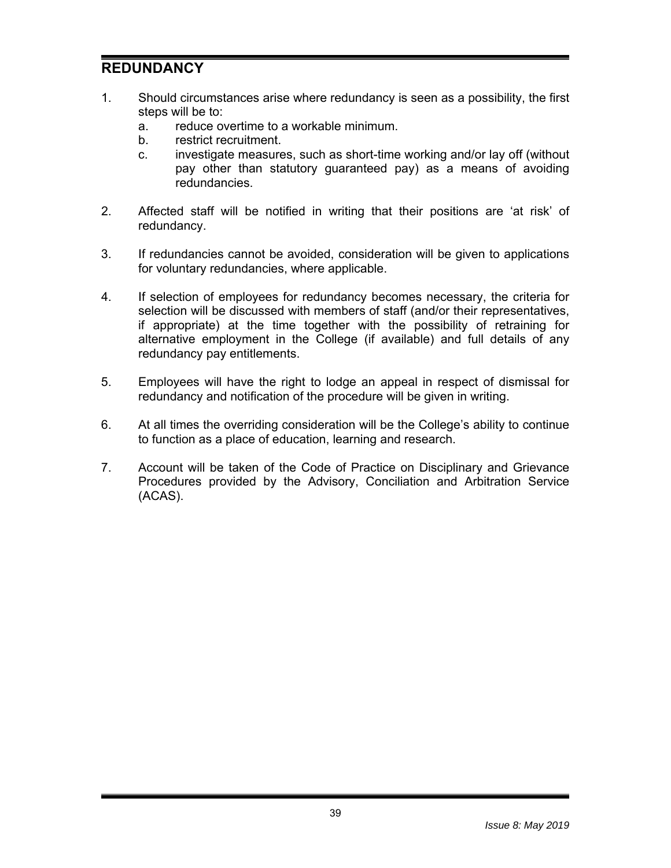# **REDUNDANCY**

- 1. Should circumstances arise where redundancy is seen as a possibility, the first steps will be to:
	- a. reduce overtime to a workable minimum.
	- b. restrict recruitment.
	- c. investigate measures, such as short-time working and/or lay off (without pay other than statutory guaranteed pay) as a means of avoiding redundancies.
- 2. Affected staff will be notified in writing that their positions are 'at risk' of redundancy.
- 3. If redundancies cannot be avoided, consideration will be given to applications for voluntary redundancies, where applicable.
- 4. If selection of employees for redundancy becomes necessary, the criteria for selection will be discussed with members of staff (and/or their representatives, if appropriate) at the time together with the possibility of retraining for alternative employment in the College (if available) and full details of any redundancy pay entitlements.
- 5. Employees will have the right to lodge an appeal in respect of dismissal for redundancy and notification of the procedure will be given in writing.
- 6. At all times the overriding consideration will be the College's ability to continue to function as a place of education, learning and research.
- 7. Account will be taken of the Code of Practice on Disciplinary and Grievance Procedures provided by the Advisory, Conciliation and Arbitration Service (ACAS).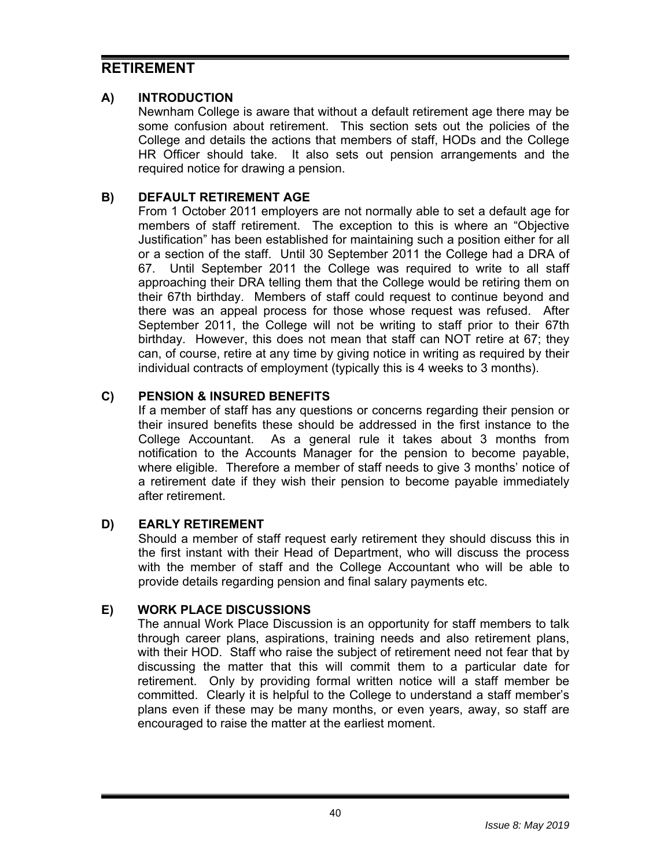# **RETIREMENT**

# **A) INTRODUCTION**

Newnham College is aware that without a default retirement age there may be some confusion about retirement. This section sets out the policies of the College and details the actions that members of staff, HODs and the College HR Officer should take. It also sets out pension arrangements and the required notice for drawing a pension.

# **B) DEFAULT RETIREMENT AGE**

From 1 October 2011 employers are not normally able to set a default age for members of staff retirement. The exception to this is where an "Objective Justification" has been established for maintaining such a position either for all or a section of the staff. Until 30 September 2011 the College had a DRA of 67. Until September 2011 the College was required to write to all staff approaching their DRA telling them that the College would be retiring them on their 67th birthday. Members of staff could request to continue beyond and there was an appeal process for those whose request was refused. After September 2011, the College will not be writing to staff prior to their 67th birthday. However, this does not mean that staff can NOT retire at 67; they can, of course, retire at any time by giving notice in writing as required by their individual contracts of employment (typically this is 4 weeks to 3 months).

#### **C) PENSION & INSURED BENEFITS**

If a member of staff has any questions or concerns regarding their pension or their insured benefits these should be addressed in the first instance to the College Accountant. As a general rule it takes about 3 months from notification to the Accounts Manager for the pension to become payable, where eligible. Therefore a member of staff needs to give 3 months' notice of a retirement date if they wish their pension to become payable immediately after retirement.

#### **D) EARLY RETIREMENT**

Should a member of staff request early retirement they should discuss this in the first instant with their Head of Department, who will discuss the process with the member of staff and the College Accountant who will be able to provide details regarding pension and final salary payments etc.

#### **E) WORK PLACE DISCUSSIONS**

The annual Work Place Discussion is an opportunity for staff members to talk through career plans, aspirations, training needs and also retirement plans, with their HOD. Staff who raise the subject of retirement need not fear that by discussing the matter that this will commit them to a particular date for retirement. Only by providing formal written notice will a staff member be committed. Clearly it is helpful to the College to understand a staff member's plans even if these may be many months, or even years, away, so staff are encouraged to raise the matter at the earliest moment.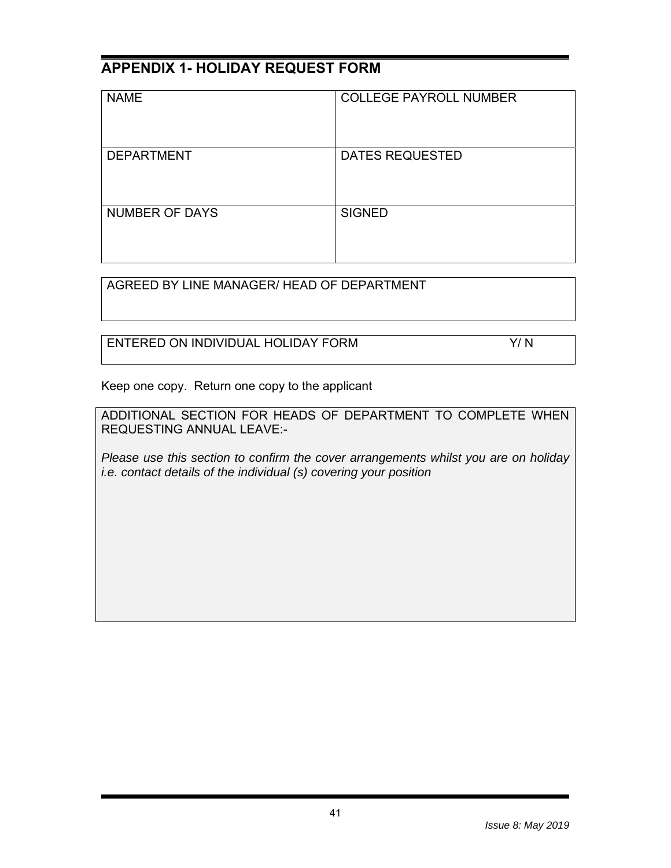# **APPENDIX 1- HOLIDAY REQUEST FORM**

| <b>NAME</b>           | <b>COLLEGE PAYROLL NUMBER</b> |
|-----------------------|-------------------------------|
| <b>DEPARTMENT</b>     | <b>DATES REQUESTED</b>        |
| <b>NUMBER OF DAYS</b> | <b>SIGNED</b>                 |

AGREED BY LINE MANAGER/ HEAD OF DEPARTMENT

ENTERED ON INDIVIDUAL HOLIDAY FORM **FORM** Y/N

Keep one copy. Return one copy to the applicant

ADDITIONAL SECTION FOR HEADS OF DEPARTMENT TO COMPLETE WHEN REQUESTING ANNUAL LEAVE:-

*Please use this section to confirm the cover arrangements whilst you are on holiday i.e. contact details of the individual (s) covering your position*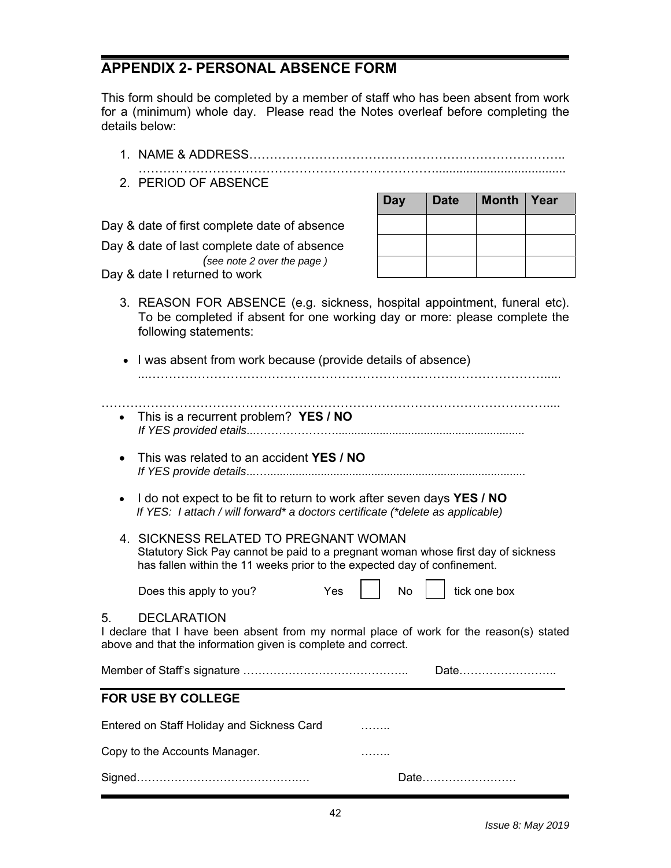# **APPENDIX 2- PERSONAL ABSENCE FORM**

This form should be completed by a member of staff who has been absent from work for a (minimum) whole day. Please read the Notes overleaf before completing the details below:

|                                                                                                                                                                                      | 1. NAME & ADDRESS.                                                                                                                                                                                                                                                                                                                                                                                            |            |             |              |      |
|--------------------------------------------------------------------------------------------------------------------------------------------------------------------------------------|---------------------------------------------------------------------------------------------------------------------------------------------------------------------------------------------------------------------------------------------------------------------------------------------------------------------------------------------------------------------------------------------------------------|------------|-------------|--------------|------|
|                                                                                                                                                                                      | 2. PERIOD OF ABSENCE                                                                                                                                                                                                                                                                                                                                                                                          |            |             |              |      |
|                                                                                                                                                                                      |                                                                                                                                                                                                                                                                                                                                                                                                               | <b>Day</b> | <b>Date</b> | <b>Month</b> | Year |
|                                                                                                                                                                                      | Day & date of first complete date of absence                                                                                                                                                                                                                                                                                                                                                                  |            |             |              |      |
|                                                                                                                                                                                      | Day & date of last complete date of absence                                                                                                                                                                                                                                                                                                                                                                   |            |             |              |      |
|                                                                                                                                                                                      | (see note 2 over the page)<br>Day & date I returned to work                                                                                                                                                                                                                                                                                                                                                   |            |             |              |      |
|                                                                                                                                                                                      | 3. REASON FOR ABSENCE (e.g. sickness, hospital appointment, funeral etc).<br>To be completed if absent for one working day or more: please complete the<br>following statements:                                                                                                                                                                                                                              |            |             |              |      |
|                                                                                                                                                                                      | I was absent from work because (provide details of absence)                                                                                                                                                                                                                                                                                                                                                   |            |             |              |      |
| $\bullet$                                                                                                                                                                            | This is a recurrent problem? YES / NO                                                                                                                                                                                                                                                                                                                                                                         |            |             |              |      |
|                                                                                                                                                                                      | This was related to an accident YES / NO<br>I do not expect to be fit to return to work after seven days YES / NO<br>If YES: I attach / will forward* a doctors certificate (*delete as applicable)<br>4. SICKNESS RELATED TO PREGNANT WOMAN<br>Statutory Sick Pay cannot be paid to a pregnant woman whose first day of sickness<br>has fallen within the 11 weeks prior to the expected day of confinement. |            |             |              |      |
|                                                                                                                                                                                      |                                                                                                                                                                                                                                                                                                                                                                                                               |            |             |              |      |
|                                                                                                                                                                                      |                                                                                                                                                                                                                                                                                                                                                                                                               |            |             |              |      |
|                                                                                                                                                                                      | Yes<br>Does this apply to you?                                                                                                                                                                                                                                                                                                                                                                                | No         |             | tick one box |      |
| <b>DECLARATION</b><br>5.<br>I declare that I have been absent from my normal place of work for the reason(s) stated<br>above and that the information given is complete and correct. |                                                                                                                                                                                                                                                                                                                                                                                                               |            |             |              |      |
|                                                                                                                                                                                      |                                                                                                                                                                                                                                                                                                                                                                                                               |            |             | Date         |      |
|                                                                                                                                                                                      | FOR USE BY COLLEGE                                                                                                                                                                                                                                                                                                                                                                                            |            |             |              |      |
|                                                                                                                                                                                      | Entered on Staff Holiday and Sickness Card                                                                                                                                                                                                                                                                                                                                                                    |            |             |              |      |
|                                                                                                                                                                                      | Copy to the Accounts Manager.                                                                                                                                                                                                                                                                                                                                                                                 |            |             |              |      |
|                                                                                                                                                                                      |                                                                                                                                                                                                                                                                                                                                                                                                               |            |             |              |      |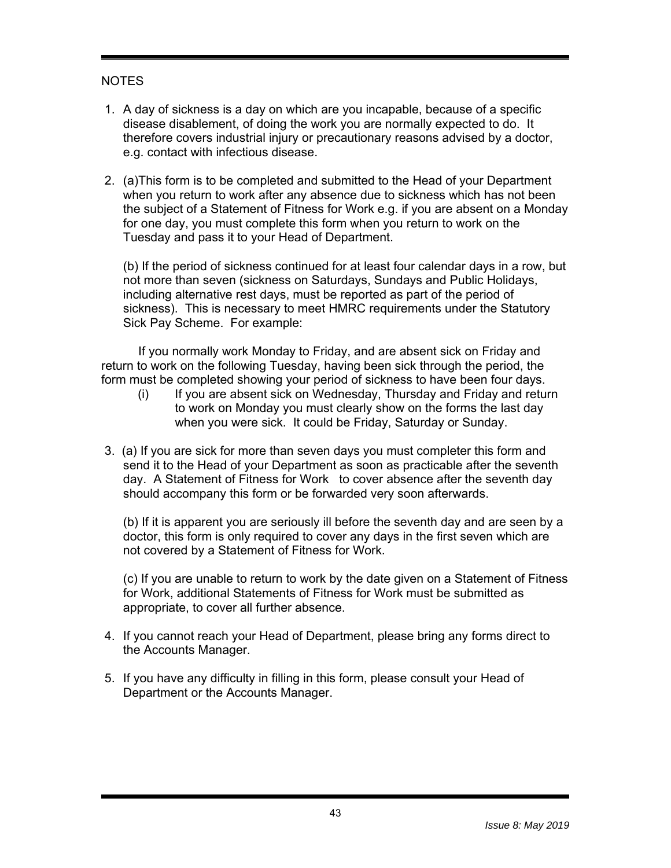### NOTES

- 1. A day of sickness is a day on which are you incapable, because of a specific disease disablement, of doing the work you are normally expected to do. It therefore covers industrial injury or precautionary reasons advised by a doctor, e.g. contact with infectious disease.
- 2. (a) This form is to be completed and submitted to the Head of your Department when you return to work after any absence due to sickness which has not been the subject of a Statement of Fitness for Work e.g. if you are absent on a Monday for one day, you must complete this form when you return to work on the Tuesday and pass it to your Head of Department.

(b) If the period of sickness continued for at least four calendar days in a row, but not more than seven (sickness on Saturdays, Sundays and Public Holidays, including alternative rest days, must be reported as part of the period of sickness). This is necessary to meet HMRC requirements under the Statutory Sick Pay Scheme. For example:

 If you normally work Monday to Friday, and are absent sick on Friday and return to work on the following Tuesday, having been sick through the period, the form must be completed showing your period of sickness to have been four days.

- (i) If you are absent sick on Wednesday, Thursday and Friday and return to work on Monday you must clearly show on the forms the last day when you were sick. It could be Friday, Saturday or Sunday.
- 3. (a) If you are sick for more than seven days you must completer this form and send it to the Head of your Department as soon as practicable after the seventh day. A Statement of Fitness for Work to cover absence after the seventh day should accompany this form or be forwarded very soon afterwards.

(b) If it is apparent you are seriously ill before the seventh day and are seen by a doctor, this form is only required to cover any days in the first seven which are not covered by a Statement of Fitness for Work.

(c) If you are unable to return to work by the date given on a Statement of Fitness for Work, additional Statements of Fitness for Work must be submitted as appropriate, to cover all further absence.

- 4. If you cannot reach your Head of Department, please bring any forms direct to the Accounts Manager.
- 5. If you have any difficulty in filling in this form, please consult your Head of Department or the Accounts Manager.